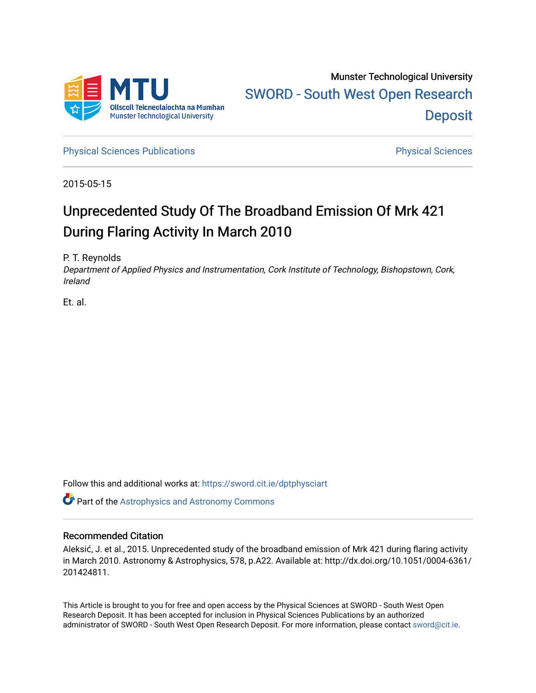

[Physical Sciences Publications](https://sword.cit.ie/dptphysciart) **Physical Sciences** Physical Sciences

2015-05-15

# Unprecedented Study Of The Broadband Emission Of Mrk 421 During Flaring Activity In March 2010

P. T. Reynolds

Department of Applied Physics and Instrumentation, Cork Institute of Technology, Bishopstown, Cork, Ireland

Et. al.

Follow this and additional works at: [https://sword.cit.ie/dptphysciart](https://sword.cit.ie/dptphysciart?utm_source=sword.cit.ie%2Fdptphysciart%2F23&utm_medium=PDF&utm_campaign=PDFCoverPages)

Part of the [Astrophysics and Astronomy Commons](http://network.bepress.com/hgg/discipline/123?utm_source=sword.cit.ie%2Fdptphysciart%2F23&utm_medium=PDF&utm_campaign=PDFCoverPages) 

## Recommended Citation

Aleksić, J. et al., 2015. Unprecedented study of the broadband emission of Mrk 421 during flaring activity in March 2010. Astronomy & Astrophysics, 578, p.A22. Available at: http://dx.doi.org/10.1051/0004-6361/ 201424811.

This Article is brought to you for free and open access by the Physical Sciences at SWORD - South West Open Research Deposit. It has been accepted for inclusion in Physical Sciences Publications by an authorized administrator of SWORD - South West Open Research Deposit. For more information, please contact [sword@cit.ie.](mailto:sword@cit.ie)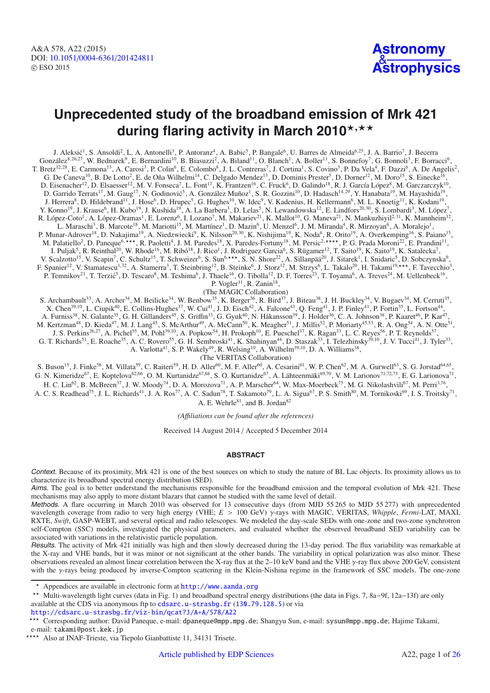## **Unprecedented study of the broadband emission of Mrk 421** during flaring activity in March 2010**\*,**\*\*

J. Aleksić<sup>1</sup>, S. Ansoldi<sup>2</sup>, L. A. Antonelli<sup>3</sup>, P. Antoranz<sup>4</sup>, A. Babic<sup>5</sup>, P. Bangale<sup>6</sup>, U. Barres de Almeida<sup>6,25</sup>, J. A. Barrio<sup>7</sup>, J. Becerra González<sup>8,26,27</sup>, W. Bednarek<sup>9</sup>, E. Bernardini<sup>10</sup>, B. Biasuzzi<sup>2</sup>, A. Biland<sup>11</sup>, O. Blanch<sup>1</sup>, A. Boller<sup>11</sup>, S. Bonnefoy<sup>7</sup>, G. Bonnoli<sup>3</sup>, F. Borracci<sup>6</sup>, T. Bretz<sup>12,28</sup>, E. Carmona<sup>13</sup>, A. Carosi<sup>3</sup>, P. Colin<sup>6</sup>, E. Colombo<sup>8</sup>, J. L. Contreras<sup>7</sup>, J. Cortina<sup>1</sup>, S. Covino<sup>3</sup>, P. Da Vela<sup>4</sup>, F. Dazzi<sup>6</sup>, A. De Angelis<sup>2</sup>, G. De Caneva<sup>10</sup>, B. De Lotto<sup>2</sup>, E. de Oña Wilhelmi<sup>14</sup>, C. Delgado Mendez<sup>13</sup>, D. Dominis Prester<sup>5</sup>, D. Dorner<sup>12</sup>, M. Doro<sup>15</sup>, S. Einecke<sup>16</sup>, D. Eisenacher<sup>12</sup>, D. Elsaesser<sup>12</sup>, M. V. Fonseca<sup>7</sup>, L. Font<sup>17</sup>, K. Frantzen<sup>16</sup>, C. Fruck<sup>6</sup>, D. Galindo<sup>18</sup>, R. J. García López<sup>8</sup>, M. Garczarczyk<sup>10</sup>, D. Garrido Terrats<sup>17</sup>, M. Gaug<sup>17</sup>, N. Godinović<sup>5</sup>, A. González Muñoz<sup>1</sup>, S. R. Gozzini<sup>10</sup>, D. Hadasch<sup>14,29</sup>, Y. Hanabata<sup>19</sup>, M. Hayashida<sup>19</sup>, J. Herrera<sup>8</sup>, D. Hildebrand<sup>11</sup>, J. Hose<sup>6</sup>, D. Hrupec<sup>5</sup>, G. Hughes<sup>10</sup>, W. Idec<sup>9</sup>, V. Kadenius, H. Kellermann<sup>6</sup>, M. L. Knoetig<sup>11</sup>, K. Kodani<sup>19</sup>, Y. Konno<sup>19</sup>, J. Krause<sup>6</sup>, H. Kubo<sup>19</sup>, J. Kushida<sup>19</sup>, A. La Barbera<sup>3</sup>, D. Lelas<sup>5</sup>, N. Lewandowska<sup>12</sup>, E. Lindfors<sup>20,30</sup>, S. Lombardi<sup>3</sup>, M. López<sup>7</sup>, R. López-Coto<sup>1</sup>, A. López-Oramas<sup>1</sup>, E. Lorenz<sup>6</sup>, I. Lozano<sup>7</sup>, M. Makariev<sup>21</sup>, K. Mallot<sup>10</sup>, G. Maneva<sup>21</sup>, N. Mankuzhiyil<sup>2,31</sup>, K. Mannheim<sup>12</sup>, L. Maraschi<sup>3</sup>, B. Marcote<sup>18</sup>, M. Mariotti<sup>15</sup>, M. Martínez<sup>1</sup>, D. Mazin<sup>6</sup>, U. Menzel<sup>6</sup>, J. M. Miranda<sup>4</sup>, R. Mirzoyan<sup>6</sup>, A. Moralejo<sup>1</sup>, P. Munar-Adrover<sup>18</sup>, D. Nakajima<sup>19</sup>, A. Niedzwiecki<sup>9</sup>, K. Nilsson<sup>20,30</sup>, K. Nishijima<sup>19</sup>, K. Noda<sup>6</sup>, R. Orito<sup>19</sup>, A. Overkemping<sup>16</sup>, S. Paiano<sup>15</sup>, M. Palatiello<sup>2</sup>, D. Paneque<sup>6,\*\*\*</sup>, R. Paoletti<sup>4</sup>, J. M. Paredes<sup>18</sup>, X. Paredes-Fortuny<sup>18</sup>, M. Persic<sup>2,\*\*\*\*</sup>, P. G. Prada Moroni<sup>22</sup>, E. Prandini<sup>11</sup>, I. Puljak<sup>5</sup>, R. Reinthal<sup>20</sup>, W. Rhode<sup>16</sup>, M. Ribó<sup>18</sup>, J. Rico<sup>1</sup>, J. Rodriguez Garcia<sup>6</sup>, S. Rügamer<sup>12</sup>, T. Saito<sup>19</sup>, K. Saito<sup>19</sup>, K. Satalecka<sup>7</sup>, V. Scalzotto<sup>15</sup>, V. Scapin<sup>7</sup>, C. Schultz<sup>15</sup>, T. Schweizer<sup>6</sup>, S. Sun<sup>6,\*\*\*</sup>, S. N. Shore<sup>22</sup>, A. Sillanpää<sup>20</sup>, J. Sitarek<sup>1</sup>, I. Snidaric<sup>5</sup>, D. Sobczynska<sup>9</sup>, F. Spanier<sup>12</sup>, V. Stamatescu<sup>1,32</sup>, A. Stamerra<sup>3</sup>, T. Steinbring<sup>12</sup>, B. Steinke<sup>6</sup>, J. Storz<sup>12</sup>, M. Strzys<sup>6</sup>, L. Takalo<sup>20</sup>, H. Takami<sup>19,\*\*\*</sup>, F. Tavecchio<sup>3</sup>, P. Temnikov<sup>21</sup>, T. Terzić<sup>5</sup>, D. Tescaro<sup>8</sup>, M. Teshima<sup>6</sup>, J. Thaele<sup>16</sup>, O. Tibolla<sup>12</sup>, D. F. Torres<sup>23</sup>, T. Toyama<sup>6</sup>, A. Treves<sup>24</sup>, M. Uellenbeck<sup>16</sup>, P. Vogler<sup>11</sup>, R. Zanin<sup>18</sup>,

(The MAGIC Collaboration)

S. Archambault<sup>33</sup>, A. Archer<sup>34</sup>, M. Beilicke<sup>34</sup>, W. Benbow<sup>35</sup>, K. Berger<sup>36</sup>, R. Bird<sup>37</sup>, J. Biteau<sup>38</sup>, J. H. Buckley<sup>34</sup>, V. Bugaev<sup>34</sup>, M. Cerruti<sup>35</sup>, X. Chen<sup>39,10</sup>, L. Ciupik<sup>40</sup>, E. Collins-Hughes<sup>37</sup>, W. Cui<sup>41</sup>, J. D. Eisch<sup>42</sup>, A. Falcone<sup>43</sup>, Q. Feng<sup>41</sup>, J. P. Finley<sup>41</sup>, P. Fortin<sup>35</sup>, L. Fortson<sup>44</sup>, A. Furniss<sup>38</sup>, N. Galante<sup>35</sup>, G. H. Gillanders<sup>45</sup>, S. Griffin<sup>33</sup>, G. Gyuk<sup>40</sup>, N. Håkansson<sup>39</sup>, J. Holder<sup>36</sup>, C. A. Johnson<sup>38</sup>, P. Kaaret<sup>46</sup>, P. Kar<sup>47</sup>,

M. Kertzman<sup>48</sup>, D. Kieda<sup>47</sup>, M. J. Lang<sup>45</sup>, S. McArthur<sup>49</sup>, A. McCann<sup>50</sup>, K. Meagher<sup>51</sup>, J. Millis<sup>52</sup>, P. Moriarty<sup>45,53</sup>, R. A. Ong<sup>54</sup>, A. N. Otte<sup>51</sup>,

J. S. Perkins<sup>26,27</sup>, A. Pichel<sup>55</sup>, M. Pohl<sup>39,10</sup>, A. Popkow<sup>54</sup>, H. Prokoph<sup>10</sup>, E. Pueschel<sup>37</sup>, K. Ragan<sup>33</sup>, L. C. Reyes<sup>56</sup>, P. T. Reynolds<sup>57</sup>,

G. T. Richards<sup>51</sup>, E. Roache<sup>35</sup>, A. C. Rovero<sup>55</sup>, G. H. Sembroski<sup>41</sup>, K. Shahinyan<sup>44</sup>, D. Staszak<sup>33</sup>, I. Telezhinsky<sup>39,10</sup>, J. V. Tucci<sup>41</sup>, J. Tyler<sup>33</sup>,

A. Varlotta<sup>41</sup>, S. P. Wakely<sup>49</sup>, R. Welsing<sup>10</sup>, A. Wilhelm<sup>39,10</sup>, D. A. Williams<sup>38</sup>,

(The VERITAS Collaboration)

S. Buson<sup>15</sup>, J. Finke<sup>58</sup>, M. Villata<sup>59</sup>, C. Raiteri<sup>59</sup>, H. D. Aller<sup>60</sup>, M. F. Aller<sup>60</sup>, A. Cesarini<sup>61</sup>, W. P. Chen<sup>62</sup>, M. A. Gurwell<sup>63</sup>, S. G. Jorstad<sup>64,65</sup>, G. N. Kimeridze<sup>67</sup>, E. Koptelova<sup>62,66</sup>, O. M. Kurtanidze<sup>67,68</sup>, S. O. Kurtanidze<sup>67</sup>, A. Lähteenmäki<sup>69,70</sup>, V. M. Larionov<sup>71,72,73</sup>, E. G. Larionova<sup>71</sup>,

H. C. Lin<sup>62</sup>, B. McBreen<sup>37</sup>, J. W. Moody<sup>74</sup>, D. A. Morozova<sup>71</sup>, A. P. Marscher<sup>64</sup>, W. Max-Moerbeck<sup>75</sup>, M. G. Nikolashvili<sup>67</sup>, M. Perri<sup>3,76</sup>, A. C. S. Readhead<sup>75</sup>, J. L. Richards<sup>41</sup>, J. A. Ros<sup>77</sup>, A. C. Sadun<sup>78</sup>, T. Sakamoto<sup>79</sup>, L. A. Sigua<sup>67</sup>, P. S. Smith<sup>80</sup>, M. Tornikoski<sup>69</sup>, I. S. Troitsky<sup>71</sup>,

A. E. Wehrle<sup>81</sup>, and B. Jordan<sup>82</sup>

*(A*ffi*liations can be found after the references)*

Received 14 August 2014 / Accepted 5 December 2014

#### **ABSTRACT**

Context. Because of its proximity, Mrk 421 is one of the best sources on which to study the nature of BL Lac objects. Its proximity allows us to characterize its broadband spectral energy distribution (SED).

Aims. The goal is to better understand the mechanisms responsible for the broadband emission and the temporal evolution of Mrk 421. These mechanisms may also apply to more distant blazars that cannot be studied with the same level of detail.

Methods. A flare occurring in March 2010 was observed for 13 consecutive days (from MJD 55 265 to MJD 55 277) with unprecedented wavelength coverage from radio to very high energy (VHE; *E* > 100 GeV) γ-rays with MAGIC, VERITAS, *Whipple*, *Fermi*-LAT, MAXI, RXTE, *Swift*, GASP-WEBT, and several optical and radio telescopes. We modeled the day-scale SEDs with one-zone and two-zone synchrotron self-Compton (SSC) models, investigated the physical parameters, and evaluated whether the observed broadband SED variability can be associated with variations in the relativistic particle population.

Results. The activity of Mrk 421 initially was high and then slowly decreased during the 13-day period. The flux variability was remarkable at the X-ray and VHE bands, but it was minor or not significant at the other bands. The variability in optical polarization was also minor. These observations revealed an almost linear correlation between the X-ray flux at the 2–10 keV band and the VHE γ-ray flux above 200 GeV, consistent with the γ-rays being produced by inverse-Compton scattering in the Klein-Nishina regime in the framework of SSC models. The one-zone

<sup>\*</sup> Appendices are available in electronic form at [http://www.aanda.org](http://www.aanda.org/10.1051/0004-6361/201424811/olm)

<sup>\*\*</sup> Multi-wavelength light curves (data in Fig. 1) and broadband spectral energy distributions (the data in Figs. 7, 8a–9f, 12a–13f) are only available at the CDS via anonymous ftp to [cdsarc.u-strasbg.fr](http://cdsarc.u-strasbg.fr) ([130.79.128.5](ftp://130.79.128.5)) or via

<http://cdsarc.u-strasbg.fr/viz-bin/qcat?J/A+A/578/A22>

<sup>\*\*\*</sup> Corresponding author: David Paneque, e-mail: dpaneque@mpp.mpg.de; Shangyu Sun, e-mail: sysun@mpp.mpg.de; Hajime Takami, e-mail: takami@post.kek.jp

<sup>\*\*\*\*</sup> Also at INAF-Trieste, via Tiepolo Gianbattiste 11, 34131 Trisete.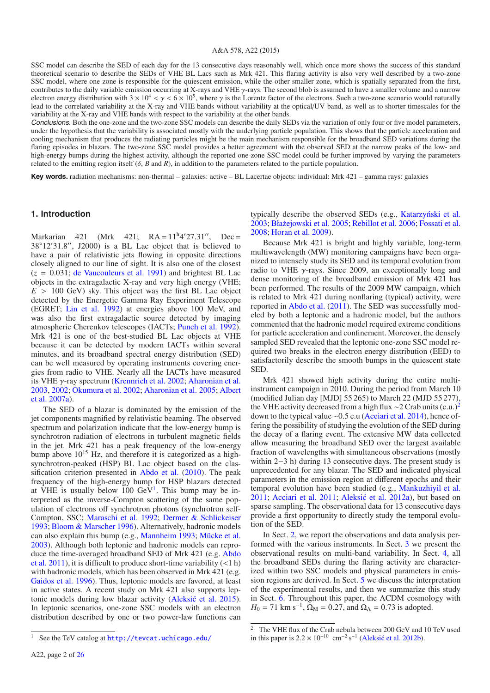#### A&A 578, A22 (2015)

SSC model can describe the SED of each day for the 13 consecutive days reasonably well, which once more shows the success of this standard theoretical scenario to describe the SEDs of VHE BL Lacs such as Mrk 421. This flaring activity is also very well described by a two-zone SSC model, where one zone is responsible for the quiescent emission, while the other smaller zone, which is spatially separated from the first, contributes to the daily variable emission occurring at X-rays and VHE γ-rays. The second blob is assumed to have a smaller volume and a narrow electron energy distribution with  $3 \times 10^4 < \gamma < 6 \times 10^5$ , where  $\gamma$  is the Lorentz factor of the electrons. Such a two-zone scenario would naturally lead to the correlated variability at the X-ray and VHE bands without variability at the optical/UV band, as well as to shorter timescales for the variability at the X-ray and VHE bands with respect to the variability at the other bands.

Conclusions. Both the one-zone and the two-zone SSC models can describe the daily SEDs via the variation of only four or five model parameters, under the hypothesis that the variability is associated mostly with the underlying particle population. This shows that the particle acceleration and cooling mechanism that produces the radiating particles might be the main mechanism responsible for the broadband SED variations during the flaring episodes in blazars. The two-zone SSC model provides a better agreement with the observed SED at the narrow peaks of the low- and high-energy bumps during the highest activity, although the reported one-zone SSC model could be further improved by varying the parameters related to the emitting region itself ( $\delta$ , *B* and *R*), in addition to the parameters related to the particle population.

**Key words.** radiation mechanisms: non-thermal – galaxies: active – BL Lacertae objects: individual: Mrk 421 – gamma rays: galaxies

#### **1. Introduction**

Markarian 421 (Mrk 421;  $RA = 11<sup>h</sup>4'27.31''$ ,  $Dec =$ 38°12'31.8", J2000) is a BL Lac object that is believed to have a pair of relativistic jets flowing in opposite directions closely aligned to our line of sight. It is also one of the closest  $(z = 0.031;$  [de Vaucouleurs et al. 1991\)](#page-16-0) and brightest BL Lac objects in the extragalactic X-ray and very high energy (VHE;  $E > 100$  GeV) sky. This object was the first BL Lac object detected by the Energetic Gamma Ray Experiment Telescope (EGRET; [Lin et al. 1992\)](#page-16-1) at energies above 100 MeV, and was also the first extragalactic source detected by imaging atmospheric Cherenkov telescopes (IACTs; [Punch et al. 1992\)](#page-16-2). Mrk 421 is one of the best-studied BL Lac objects at VHE because it can be detected by modern IACTs within several minutes, and its broadband spectral energy distribution (SED) can be well measured by operating instruments covering energies from radio to VHE. Nearly all the IACTs have measured its VHE γ-ray spectrum [\(Krennrich et al. 2002;](#page-16-3) [Aharonian et al.](#page-16-4) [2003,](#page-16-4) [2002;](#page-16-5) [Okumura et al. 2002](#page-16-6); [Aharonian et al. 2005](#page-16-7)[;](#page-16-8) Albert et al. [2007a](#page-16-8)).

<span id="page-2-0"></span>The SED of a blazar is dominated by the emission of the jet components magnified by relativistic beaming. The observed spectrum and polarization indicate that the low-energy bump is synchrotron radiation of electrons in turbulent magnetic fields in the jet. Mrk 421 has a peak frequency of the low-energy bump above  $10^{15}$  Hz, and therefore it is categorized as a highsynchrotron-peaked (HSP) BL Lac object based on the classification criterion presented in [Abdo et al.](#page-16-9) [\(2010\)](#page-16-9). The peak frequency of the high-energy bump for HSP blazars detected at VHE is usually below  $100 \text{ GeV}^1$ . This bump may be interpreted as the inverse-Compton scattering of the same population of electrons off synchrotron photons (synchrotron self-Compton, SSC; [Maraschi et al. 1992](#page-16-10); [Dermer & Schlickeiser](#page-16-11) [1993;](#page-16-11) [Bloom & Marscher 1996](#page-16-12)). Alternatively, hadronic models can also explain this bump (e.g., [Mannheim 1993](#page-16-13); [Mücke et al.](#page-16-14) [2003\)](#page-16-14). Although both leptonic and hadronic models can reproduce [the time-averaged broadband SED of Mrk 421 \(e.g.](#page-16-15) Abdo et al. [2011](#page-16-15)), it is difficult to produce short-time variability  $(<1 h)$ with hadronic models, which has been observed in Mrk 421 (e.g. [Gaidos et al. 1996](#page-16-16)). Thus, leptonic models are favored, at least in active states. A recent study on Mrk 421 also supports leptonic models during low blazar activity (Aleksić et al. 2015). In leptonic scenarios, one-zone SSC models with an electron distribution described by one or two power-law functions can typically describe the observed SEDs (e.g., Katarzyński et al. [2003;](#page-16-18) [Bła˙zejowski et al. 2005](#page-16-19); [Rebillot et al. 2006](#page-16-20); [Fossati et al.](#page-16-21) [2008;](#page-16-21) [Horan et al. 2009](#page-16-22)).

Because Mrk 421 is bright and highly variable, long-term multiwavelength (MW) monitoring campaigns have been organized to intensely study its SED and its temporal evolution from radio to VHE  $\gamma$ -rays. Since 2009, an exceptionally long and dense monitoring of the broadband emission of Mrk 421 has been performed. The results of the 2009 MW campaign, which is related to Mrk 421 during nonflaring (typical) activity, were reported in [Abdo et al.](#page-16-15) [\(2011](#page-16-15)). The SED was successfully modeled by both a leptonic and a hadronic model, but the authors commented that the hadronic model required extreme conditions for particle acceleration and confinement. Moreover, the densely sampled SED revealed that the leptonic one-zone SSC model required two breaks in the electron energy distribution (EED) to satisfactorily describe the smooth bumps in the quiescent state SED.

Mrk 421 showed high activity during the entire multiinstrument campaign in 2010. During the period from March 10 (modified Julian day [MJD] 55 265) to March 22 (MJD 55 277), the VHE activity decreased from a high flux ∼[2](#page-2-1) Crab units (c.u.)<sup>2</sup> down to the typical value ∼0.5 c.u [\(Acciari et al. 2014\)](#page-16-23), hence offering the possibility of studying the evolution of the SED during the decay of a flaring event. The extensive MW data collected allow measuring the broadband SED over the largest available fraction of wavelengths with simultaneous observations (mostly within 2−3 h) during 13 consecutive days. The present study is unprecedented for any blazar. The SED and indicated physical parameters in the emission region at different epochs and their temporal evolution have been studied (e.g., [Mankuzhiyil et al.](#page-16-24)  $2011$ ; Acciari et al.  $2011$ ; Aleksić et al.  $2012a$ ), but based on sparse sampling. The observational data for 13 consecutive days provide a first opportunity to directly study the temporal evolution of the SED.

<span id="page-2-1"></span>In Sect. [2,](#page-3-0) we report the observations and data analysis performed with the various instruments. In Sect. [3](#page-6-0) we present the observational results on multi-band variability. In Sect. [4,](#page-8-0) all the broadband SEDs during the flaring activity are characterized within two SSC models and physical parameters in emission regions are derived. In Sect. [5](#page-12-0) we discuss the interpretation of the experimental results, and then we summarize this study in Sect. [6.](#page-15-0) Throughout this paper, the ΛCDM cosmology with  $H_0 = 71$  km s<sup>-1</sup>,  $\Omega_M = 0.27$ , and  $\Omega_{\Lambda} = 0.73$  is adopted.

<sup>&</sup>lt;sup>1</sup> See the TeV catalog at <http://tevcat.uchicago.edu/>

 $2\,$  The VHE flux of the Crab nebula between 200 GeV and 10 TeV used in this paper is  $2.2 \times 10^{-10}$  cm<sup>-2</sup> s<sup>-1</sup> [\(Aleksic et al. 2012b](#page-16-27)).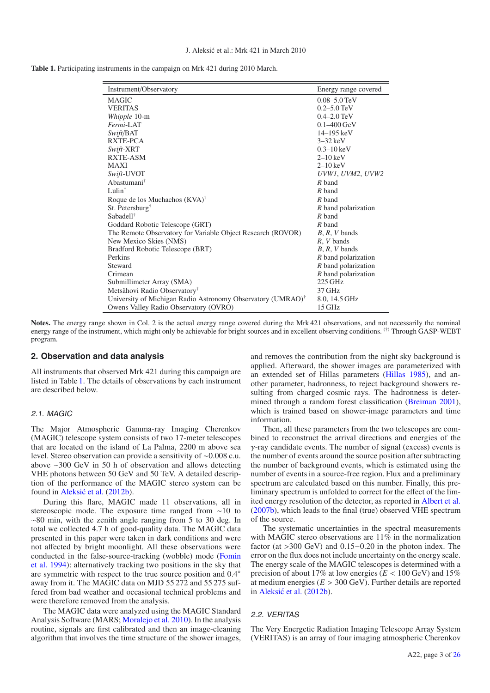<span id="page-3-1"></span>

|  |  |  | <b>Table 1.</b> Participating instruments in the campaign on Mrk 421 during 2010 March. |
|--|--|--|-----------------------------------------------------------------------------------------|
|--|--|--|-----------------------------------------------------------------------------------------|

| Instrument/Observatory                                                  | Energy range covered       |
|-------------------------------------------------------------------------|----------------------------|
| <b>MAGIC</b>                                                            | $0.08 - 5.0$ TeV           |
| <b>VERITAS</b>                                                          | $0.2 - 5.0$ TeV            |
| Whipple 10-m                                                            | $0.4 - 2.0$ TeV            |
| Fermi-LAT                                                               | $0.1 - 400 \,\mathrm{GeV}$ |
| Swift/BAT                                                               | $14 - 195 \text{ keV}$     |
| RXTE-PCA                                                                | $3-32$ keV                 |
| Swift-XRT                                                               | $0.3 - 10 \text{ keV}$     |
| <b>RXTE-ASM</b>                                                         | $2-10$ keV                 |
| <b>MAXI</b>                                                             | $2-10$ keV                 |
| Swift-UVOT                                                              | UVWI, UVM2, UVW2           |
| Abastumani <sup>†</sup>                                                 | $R$ band                   |
| Lulin $^{\dagger}$                                                      | R band                     |
| Roque de los Muchachos (KVA) <sup>†</sup>                               | R band                     |
| St. Petersburg <sup>†</sup>                                             | R band polarization        |
| Sabadell <sup>†</sup>                                                   | $R$ band                   |
| Goddard Robotic Telescope (GRT)                                         | R band                     |
| The Remote Observatory for Variable Object Research (ROVOR)             | $B, R, V$ bands            |
| New Mexico Skies (NMS)                                                  | R, V bands                 |
| Bradford Robotic Telescope (BRT)                                        | $B, R, V$ bands            |
| Perkins                                                                 | R band polarization        |
| Steward                                                                 | $R$ band polarization      |
| Crimean                                                                 | $R$ band polarization      |
| Submillimeter Array (SMA)                                               | $225$ GHz                  |
| Metsähovi Radio Observatory <sup>†</sup>                                | 37 GHz                     |
| University of Michigan Radio Astronomy Observatory (UMRAO) <sup>†</sup> | 8.0, 14.5 GHz              |
| Owens Valley Radio Observatory (OVRO)                                   | 15 GHz                     |

Notes. The energy range shown in Col. 2 is the actual energy range covered during the Mrk 421 observations, and not necessarily the nominal energy range of the instrument, which might only be achievable for bright sources and in excellent observing conditions. (†) Through GASP-WEBT program.

#### <span id="page-3-0"></span>**2. Observation and data analysis**

All instruments that observed Mrk 421 during this campaign are listed in Table [1.](#page-3-1) The details of observations by each instrument are described below.

#### 2.1. MAGIC

The Major Atmospheric Gamma-ray Imaging Cherenkov (MAGIC) telescope system consists of two 17-meter telescopes that are located on the island of La Palma, 2200 m above sea level. Stereo observation can provide a sensitivity of ∼0.008 c.u. above ∼300 GeV in 50 h of observation and allows detecting VHE photons between 50 GeV and 50 TeV. A detailed description of the performance of the MAGIC stereo system can be found in Aleksić et al. [\(2012b\)](#page-16-27).

During this flare, MAGIC made 11 observations, all in stereoscopic mode. The exposure time ranged from ∼10 to ∼80 min, with the zenith angle ranging from 5 to 30 deg. In total we collected 4.7 h of good-quality data. The MAGIC data presented in this paper were taken in dark conditions and were not affected by bright moonlight. All these observations were cond[ucted in the false-source-tracking \(wobble\) mode \(](#page-16-28)Fomin et al. [1994\)](#page-16-28): alternatively tracking two positions in the sky that are symmetric with respect to the true source position and 0.4◦ away from it. The MAGIC data on MJD 55 272 and 55 275 suffered from bad weather and occasional technical problems and were therefore removed from the analysis.

The MAGIC data were analyzed using the MAGIC Standard Analysis Software (MARS; [Moralejo et al. 2010](#page-16-29)). In the analysis routine, signals are first calibrated and then an image-cleaning algorithm that involves the time structure of the shower images, and removes the contribution from the night sky background is applied. Afterward, the shower images are parameterized with an extended set of Hillas parameters [\(Hillas 1985](#page-16-30)), and another parameter, hadronness, to reject background showers resulting from charged cosmic rays. The hadronness is determined through a random forest classification [\(Breiman 2001\)](#page-16-31), which is trained based on shower-image parameters and time information.

Then, all these parameters from the two telescopes are combined to reconstruct the arrival directions and energies of the  $\gamma$ -ray candidate events. The number of signal (excess) events is the number of events around the source position after subtracting the number of background events, which is estimated using the number of events in a source-free region. Flux and a preliminary spectrum are calculated based on this number. Finally, this preliminary spectrum is unfolded to correct for the effect of the limited energy resolution of the detector, as reported in [Albert et al.](#page-16-32) [\(2007b\)](#page-16-32), which leads to the final (true) observed VHE spectrum of the source.

The systematic uncertainties in the spectral measurements with MAGIC stereo observations are 11% in the normalization factor (at >300 GeV) and 0.15−0.20 in the photon index. The error on the flux does not include uncertainty on the energy scale. The energy scale of the MAGIC telescopes is determined with a precision of about 17% at low energies ( $E < 100$  GeV) and 15% at medium energies (*E* > 300 GeV). Further details are reported in Aleksić et al. [\(2012b](#page-16-27)).

#### 2.2. VERITAS

The Very Energetic Radiation Imaging Telescope Array System (VERITAS) is an array of four imaging atmospheric Cherenkov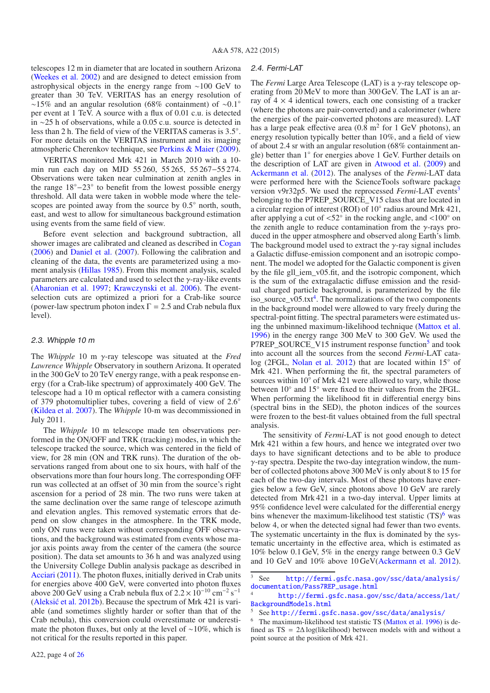telescopes 12 m in diameter that are located in southern Arizona [\(Weekes et al. 2002](#page-16-33)) and are designed to detect emission from astrophysical objects in the energy range from ∼100 GeV to greater than 30 TeV. VERITAS has an energy resolution of ∼15% and an angular resolution (68% containment) of ∼0.1◦ per event at 1 TeV. A source with a flux of 0.01 c.u. is detected in ∼25 h of observations, while a 0.05 c.u. source is detected in less than 2 h. The field of view of the VERITAS cameras is 3.5◦. For more details on the VERITAS instrument and its imaging atmospheric Cherenkov technique, see [Perkins & Maier](#page-16-34) [\(2009](#page-16-34)).

VERITAS monitored Mrk 421 in March 2010 with a 10 min run each day on MJD 55 260, 55 265, 55 267−55 274. Observations were taken near culmination at zenith angles in the range 18◦−23◦ to benefit from the lowest possible energy threshold. All data were taken in wobble mode where the telescopes are pointed away from the source by  $0.5^{\circ}$  north, south, east, and west to allow for simultaneous background estimation using events from the same field of view.

Before event selection and background subtraction, all shower images are calibrated and cleaned as described in [Cogan](#page-16-35) [\(2006](#page-16-35)) and [Daniel et al.](#page-16-36) [\(2007](#page-16-36)). Following the calibration and cleaning of the data, the events are parameterized using a moment analysis [\(Hillas 1985](#page-16-30)). From this moment analysis, scaled parameters are calculated and used to select the  $\gamma$ -ray-like events [\(Aharonian et al. 1997;](#page-16-37) [Krawczynski et al. 2006](#page-16-38)). The eventselection cuts are optimized a priori for a Crab-like source (power-law spectrum photon index  $\Gamma = 2.5$  and Crab nebula flux level).

#### 2.3. Whipple 10 <sup>m</sup>

The *Whipple* 10 m γ-ray telescope was situated at the *Fred Lawrence Whipple* Observatory in southern Arizona. It operated in the 300 GeV to 20 TeV energy range, with a peak response energy (for a Crab-like spectrum) of approximately 400 GeV. The telescope had a 10 m optical reflector with a camera consisting of 379 photomultiplier tubes, covering a field of view of 2.6◦ [\(Kildea et al. 2007](#page-16-39)). The *Whipple* 10-m was decommissioned in July 2011.

The *Whipple* 10 m telescope made ten observations performed in the ON/OFF and TRK (tracking) modes, in which the telescope tracked the source, which was centered in the field of view, for 28 min (ON and TRK runs). The duration of the observations ranged from about one to six hours, with half of the observations more than four hours long. The corresponding OFF run was collected at an offset of 30 min from the source's right ascension for a period of 28 min. The two runs were taken at the same declination over the same range of telescope azimuth and elevation angles. This removed systematic errors that depend on slow changes in the atmosphere. In the TRK mode, only ON runs were taken without corresponding OFF observations, and the background was estimated from events whose major axis points away from the center of the camera (the source position). The data set amounts to 36 h and was analyzed using the University College Dublin analysis package as described in [Acciari](#page-16-40) [\(2011\)](#page-16-40). The photon fluxes, initially derived in Crab units for energies above 400 GeV, were converted into photon fluxes above 200 GeV using a Crab nebula flux of  $2.2 \times 10^{-10}$  cm<sup>-2</sup> s<sup>-1</sup> (Aleksić et al.  $2012b$ ). Because the spectrum of Mrk 421 is variable (and sometimes slightly harder or softer than that of the Crab nebula), this conversion could overestimate or underestimate the photon fluxes, but only at the level of ∼10%, which is not critical for the results reported in this paper.

The *Fermi* Large Area Telescope (LAT) is a γ-ray telescope operating from 20 MeV to more than 300 GeV. The LAT is an array of  $4 \times 4$  identical towers, each one consisting of a tracker (where the photons are pair-converted) and a calorimeter (where the energies of the pair-converted photons are measured). LAT has a large peak effective area  $(0.8 \text{ m}^2 \text{ for } 1 \text{ GeV}$  photons), an energy resolution typically better than 10%, and a field of view of about 2.4 sr with an angular resolution (68% containment angle) better than 1◦ for energies above 1 GeV. Further details on the description of LAT are given in [Atwood et al.](#page-16-41) [\(2009](#page-16-41)) and [Ackermann et al.](#page-16-42) [\(2012\)](#page-16-42). The analyses of the *Fermi*-LAT data were performed here with the ScienceTools software package version v9r32p5. We used the reprocessed *Fermi*-LAT events<sup>3</sup> belonging to the P7REP\_SOURCE\_V15 class that are located in a circular region of interest (ROI) of 10◦ radius around Mrk 421, after applying a cut of  $\langle 52^\circ$  in the rocking angle, and  $\langle 100^\circ$  on the zenith angle to reduce contamination from the  $\gamma$ -rays produced in the upper atmosphere and observed along Earth's limb. The background model used to extract the  $\gamma$ -ray signal includes a Galactic diffuse-emission component and an isotropic component. The model we adopted for the Galactic component is given by the file gll iem v05.fit, and the isotropic component, which is the sum of the extragalactic diffuse emission and the residual charged particle background, is parameterized by the file iso\_source\_v $05.txt^4$ . The normalizations of the two components in the background model were allowed to vary freely during the spectral-point fitting. The spectral parameters were estimated using the unbinned maximum-likelihood technique [\(Mattox et al.](#page-16-43) [1996\)](#page-16-43) in the energy range 300 MeV to 300 GeV. We used the P7REP\_SOURCE\_V1[5](#page-4-2) instrument response function<sup>5</sup> and took into account all the sources from the second *Fermi*-LAT catalog (2FGL, [Nolan et al. 2012](#page-16-44)) that are located within 15◦ of Mrk 421. When performing the fit, the spectral parameters of sources within 10<sup>°</sup> of Mrk 421 were allowed to vary, while those between 10◦ and 15◦ were fixed to their values from the 2FGL. When performing the likelihood fit in differential energy bins (spectral bins in the SED), the photon indices of the sources were frozen to the best-fit values obtained from the full spectral analysis.

<span id="page-4-2"></span><span id="page-4-1"></span><span id="page-4-0"></span>The sensitivity of *Fermi*-LAT is not good enough to detect Mrk 421 within a few hours, and hence we integrated over two days to have significant detections and to be able to produce γ-ray spectra. Despite the two-day integration window, the number of collected photons above 300 MeV is only about 8 to 15 for each of the two-day intervals. Most of these photons have energies below a few GeV, since photons above 10 GeV are rarely detected from Mrk 421 in a two-day interval. Upper limits at 95% confidence level were calculated for the differential energy bins whenever the maximum-likelihood test statistic  $(TS)^6$  $(TS)^6$  was below 4, or when the detected signal had fewer than two events. The systematic uncertainty in the flux is dominated by the systematic uncertainty in the effective area, which is estimated as 10% below 0.1 GeV, 5% in the energy range between 0.3 GeV and 10 GeV and 10% above 10 GeV[\(Ackermann et al. 2012\)](#page-16-42).

<span id="page-4-3"></span><sup>3</sup> See [http://fermi.gsfc.nasa.gov/ssc/data/analysis/](http://fermi.gsfc.nasa.gov/ssc/data/analysis/documentation/Pass7REP_usage.html) [documentation/Pass7REP\\_usage.html](http://fermi.gsfc.nasa.gov/ssc/data/analysis/documentation/Pass7REP_usage.html)

<sup>4</sup> [http://fermi.gsfc.nasa.gov/ssc/data/access/lat/](http://fermi.gsfc.nasa.gov/ssc/data/access/lat/BackgroundModels.html) [BackgroundModels.html](http://fermi.gsfc.nasa.gov/ssc/data/access/lat/BackgroundModels.html)

<sup>5</sup> See <http://fermi.gsfc.nasa.gov/ssc/data/analysis/>

<sup>6</sup> The maximum-likelihood test statistic TS [\(Mattox et al. 1996](#page-16-43)) is defined as  $TS = 2\Delta \log$ (likelihood) between models with and without a point source at the position of Mrk 421.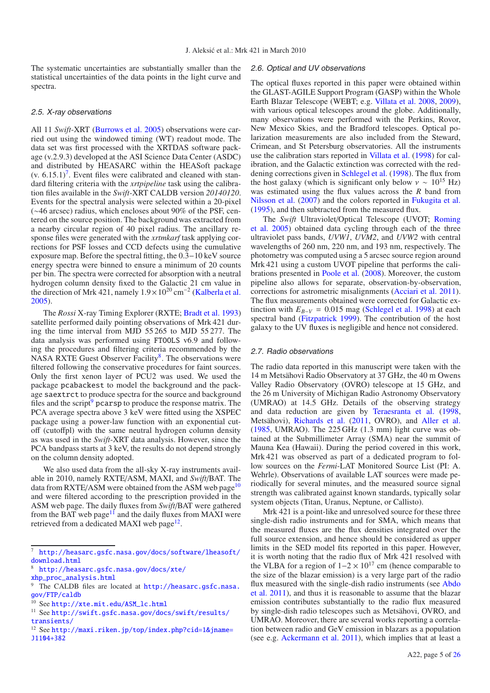The systematic uncertainties are substantially smaller than the statistical uncertainties of the data points in the light curve and spectra.

#### 2.5. X-ray observations

All 11 *Swift*-XRT [\(Burrows et al. 2005\)](#page-16-45) observations were carried out using the windowed timing (WT) readout mode. The data set was first processed with the XRTDAS software package (v.2.9.3) developed at the ASI Science Data Center (ASDC) and distributed by HEASARC within the HEASoft package  $(v. 6.15.1)^7$  $(v. 6.15.1)^7$ . Event files were calibrated and cleaned with standard filtering criteria with the *xrtpipeline* task using the calibration files available in the *Swift*-XRT CALDB version *20140120*. Events for the spectral analysis were selected within a 20-pixel (∼46 arcsec) radius, which encloses about 90% of the PSF, centered on the source position. The background was extracted from a nearby circular region of 40 pixel radius. The ancillary response files were generated with the *xrtmkarf* task applying corrections for PSF losses and CCD defects using the cumulative exposure map. Before the spectral fitting, the 0.3−10 keV source energy spectra were binned to ensure a minimum of 20 counts per bin. The spectra were corrected for absorption with a neutral hydrogen column density fixed to the Galactic 21 cm value in the direction of Mrk 421, namely  $1.9 \times 10^{20}$  cm<sup>-2</sup> [\(Kalberla et al.](#page-16-46) [2005\)](#page-16-46).

The *Rossi* X-ray Timing Explorer (RXTE; [Bradt et al. 1993](#page-16-47)) satellite performed daily pointing observations of Mrk 421 during the time interval from MJD 55 265 to MJD 55 277. The data analysis was performed using FTOOLS v6.9 and following the procedures and filtering criteria recommended by the NASA RXTE Guest Observer Facility<sup>[8](#page-5-1)</sup>. The observations were filtered following the conservative procedures for faint sources. Only the first xenon layer of PCU2 was used. We used the package pcabackest to model the background and the package saextrct to produce spectra for the source and background files and the script<sup>9</sup> pcarsp to produce the response matrix. The PCA average spectra above 3 keV were fitted using the XSPEC package using a power-law function with an exponential cutoff (cutoffpl) with the same neutral hydrogen column density as was used in the *Swift*-XRT data analysis. However, since the PCA bandpass starts at 3 keV, the results do not depend strongly on the column density adopted.

<span id="page-5-4"></span><span id="page-5-3"></span><span id="page-5-2"></span><span id="page-5-1"></span><span id="page-5-0"></span>We also used data from the all-sky X-ray instruments available in 2010, namely RXTE/ASM, MAXI, and *Swift*/BAT. The data from RXTE/ASM were obtained from the ASM web page<sup>[10](#page-5-3)</sup> and were filtered according to the prescription provided in the ASM web page. The daily fluxes from *Swift*/BAT were gathered from the BAT web page<sup>[11](#page-5-4)</sup> and the daily fluxes from MAXI were retrieved from a dedicated MAXI web page<sup>[12](#page-5-5)</sup>.

#### 2.6. Optical and UV observations

The optical fluxes reported in this paper were obtained within the GLAST-AGILE Support Program (GASP) within the Whole Earth Blazar Telescope (WEBT; e.g. [Villata et al. 2008](#page-16-48), [2009\)](#page-16-49), with various optical telescopes around the globe. Additionally, many observations were performed with the Perkins, Rovor, New Mexico Skies, and the Bradford telescopes. Optical polarization measurements are also included from the Steward, Crimean, and St Petersburg observatories. All the instruments use the calibration stars reported in [Villata et al.](#page-16-50) [\(1998](#page-16-50)) for calibration, and the Galactic extinction was corrected with the reddening corrections given in [Schlegel et al.](#page-16-51) [\(1998](#page-16-51)). The flux from the host galaxy (which is significant only below  $v \sim 10^{15}$  Hz) was estimated using the flux values across the *R* band from [Nilsson et al.](#page-16-52) [\(2007](#page-16-52)) and the colors reported in [Fukugita et al.](#page-16-53) [\(1995\)](#page-16-53), and then subtracted from the measured flux.

The *Swift* Ultraviolet/[Optical](#page-16-54) [Telescope](#page-16-54) [\(UVOT;](#page-16-54) Roming et al. [2005](#page-16-54)) obtained data cycling through each of the three ultraviolet pass bands, *UVW1*, *UVM2*, and *UVW2* with central wavelengths of 260 nm, 220 nm, and 193 nm, respectively. The photometry was computed using a 5 arcsec source region around Mrk 421 using a custom UVOT pipeline that performs the calibrations presented in [Poole et al.](#page-16-55) [\(2008\)](#page-16-55). Moreover, the custom pipeline also allows for separate, observation-by-observation, corrections for astrometric misalignments [\(Acciari et al. 2011\)](#page-16-25). The flux measurements obtained were corrected for Galactic extinction with  $E_{B-V} = 0.015$  mag [\(Schlegel et al. 1998](#page-16-51)) at each spectral band [\(Fitzpatrick 1999](#page-16-56)). The contribution of the host galaxy to the UV fluxes is negligible and hence not considered.

#### 2.7. Radio observations

The radio data reported in this manuscript were taken with the 14 m Metsähovi Radio Observatory at 37 GHz, the 40 m Owens Valley Radio Observatory (OVRO) telescope at 15 GHz, and the 26 m University of Michigan Radio Astronomy Observatory (UMRAO) at 14.5 GHz. Details of the observing strategy and data reduction are given by [Teraesranta et al.](#page-16-57) [\(1998](#page-16-57), Metsähovi), [Richards et al.](#page-16-58) [\(2011,](#page-16-58) OVRO), and [Aller et al.](#page-16-59) [\(1985,](#page-16-59) UMRAO). The 225 GHz (1.3 mm) light curve was obtained at the Submillimeter Array (SMA) near the summit of Mauna Kea (Hawaii). During the period covered in this work, Mrk 421 was observed as part of a dedicated program to follow sources on the *Fermi*-LAT Monitored Source List (PI: A. Wehrle). Observations of available LAT sources were made periodically for several minutes, and the measured source signal strength was calibrated against known standards, typically solar system objects (Titan, Uranus, Neptune, or Callisto).

Mrk 421 is a point-like and unresolved source for these three single-dish radio instruments and for SMA, which means that the measured fluxes are the flux densities integrated over the full source extension, and hence should be considered as upper limits in the SED model fits reported in this paper. However, it is worth noting that the radio flux of Mrk 421 resolved with the VLBA for a region of  $1-2 \times 10^{17}$  cm (hence comparable to the size of the blazar emission) is a very large part of the radio flux [measured](#page-16-15) [with](#page-16-15) [the](#page-16-15) [single-dish](#page-16-15) [radio](#page-16-15) [instruments](#page-16-15) [\(see](#page-16-15) Abdo et al. [2011\)](#page-16-15), and thus it is reasonable to assume that the blazar emission contributes substantially to the radio flux measured by single-dish radio telescopes such as Metsähovi, OVRO, and UMRAO. Moreover, there are several works reporting a correlation between radio and GeV emission in blazars as a population (see e.g. [Ackermann et al. 2011](#page-16-60)), which implies that at least a

<span id="page-5-5"></span><sup>7</sup> [http://heasarc.gsfc.nasa.gov/docs/software/lheasoft/](http://heasarc.gsfc.nasa.gov/docs/software/lheasoft/download.html) [download.html](http://heasarc.gsfc.nasa.gov/docs/software/lheasoft/download.html)

<sup>8</sup> [http://heasarc.gsfc.nasa.gov/docs/xte/](http://heasarc.gsfc.nasa.gov/docs/xte/xhp_proc_analysis.html) [xhp\\_proc\\_analysis.html](http://heasarc.gsfc.nasa.gov/docs/xte/xhp_proc_analysis.html)

<sup>9</sup> The CALDB files are located at [http://heasarc.gsfc.nasa.](http://heasarc.gsfc.nasa.gov/FTP/caldb) [gov/FTP/caldb](http://heasarc.gsfc.nasa.gov/FTP/caldb)

<sup>10</sup> See [http://xte.mit.edu/ASM\\_lc.html](http://xte.mit.edu/ASM_lc.html)

<sup>&</sup>lt;sup>11</sup> See <http://swift.gsfc.nasa.gov/docs/swift/results/> <transients/>

<sup>12</sup> See <http://maxi.riken.jp/top/index.php?cid=1&jname=> <J1104+382>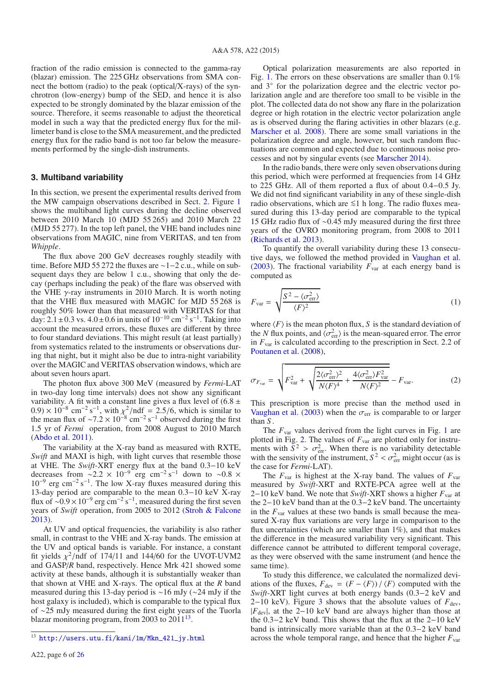fraction of the radio emission is connected to the gamma-ray (blazar) emission. The 225 GHz observations from SMA connect the bottom (radio) to the peak (optical/X-rays) of the synchrotron (low-energy) bump of the SED, and hence it is also expected to be strongly dominated by the blazar emission of the source. Therefore, it seems reasonable to adjust the theoretical model in such a way that the predicted energy flux for the millimeter band is close to the SMA measurement, and the predicted energy flux for the radio band is not too far below the measurements performed by the single-dish instruments.

#### <span id="page-6-0"></span>**3. Multiband variability**

In this section, we present the experimental results derived from the MW campaign observations described in Sect. [2.](#page-3-0) Figure [1](#page-7-0) shows the multiband light curves during the decline observed between 2010 March 10 (MJD 55 265) and 2010 March 22 (MJD 55 277). In the top left panel, the VHE band includes nine observations from MAGIC, nine from VERITAS, and ten from *Whipple*.

The flux above 200 GeV decreases roughly steadily with time. Before MJD 55 272 the fluxes are ∼1−2 c.u., while on subsequent days they are below 1 c.u., showing that only the decay (perhaps including the peak) of the flare was observed with the VHE  $\gamma$ -ray instruments in 2010 March. It is worth noting that the VHE flux measured with MAGIC for MJD 55 268 is roughly 50% lower than that measured with VERITAS for that day:  $2.1 \pm 0.3$  vs.  $4.0 \pm 0.6$  in units of  $10^{-10}$  cm<sup>-2</sup> s<sup>-1</sup>. Taking into account the measured errors, these fluxes are different by three to four standard deviations. This might result (at least partially) from systematics related to the instruments or observations during that night, but it might also be due to intra-night variability over the MAGIC and VERITAS observation windows, which are about seven hours apart.

The photon flux above 300 MeV (measured by *Fermi*-LAT in two-day long time intervals) does not show any significant variability. A fit with a constant line gives a flux level of  $(6.8 \pm$  $(0.9) \times 10^{-8}$  cm<sup>-2</sup> s<sup>-1</sup>, with  $\chi^2/\text{ndf} = 2.5/6$ , which is similar to the mean flux of ~7.2 × 10<sup>-8</sup> cm<sup>-2</sup> s<sup>−1</sup> observed during the first 1.5 yr of *Fermi* operation, from 2008 August to 2010 March [\(Abdo et al. 2011\)](#page-16-15).

The variability at the X-ray band as measured with RXTE, *Swift* and MAXI is high, with light curves that resemble those at VHE. The *Swift*-XRT energy flux at the band 0.3−10 keV decreases from ~2.2 × 10<sup>-9</sup> erg cm<sup>-2</sup> s<sup>-1</sup> down to ~0.8 ×  $10^{-9}$  erg cm<sup>-2</sup> s<sup>-1</sup>. The low X-ray fluxes measured during this 13-day period are comparable to the mean 0.3−10 keV X-ray flux of ~0.9 × 10<sup>-9</sup> erg cm<sup>-2</sup> s<sup>-1</sup>, measured during the first seven years of *Swift* operation, from 2005 to 2012 [\(Stroh & Falcone](#page-16-61) [2013\)](#page-16-61).

<span id="page-6-1"></span>At UV and optical frequencies, the variability is also rather small, in contrast to the VHE and X-ray bands. The emission at the UV and optical bands is variable. For instance, a constant fit yields  $\chi^2$ /ndf of 174/11 and 144/60 for the UVOT-UVM2 and GASP/*R* band, respectively. Hence Mrk 421 showed some activity at these bands, although it is substantially weaker than that shown at VHE and X-rays. The optical flux at the *R* band measured during this 13-day period is ∼16 mJy (∼24 mJy if the host galaxy is included), which is comparable to the typical flux of ∼25 mJy measured during the first eight years of the Tuorla blazar monitoring program, from 2003 to  $2011^{13}$ .

Optical polarization measurements are also reported in Fig. [1.](#page-7-0) The errors on these observations are smaller than 0.1% and 3<sup>°</sup> for the polarization degree and the electric vector polarization angle and are therefore too small to be visible in the plot. The collected data do not show any flare in the polarization degree or high rotation in the electric vector polarization angle as is observed during the flaring activities in other blazars (e.g. [Marscher et al. 2008](#page-16-62)). There are some small variations in the polarization degree and angle, however, but such random fluctuations are common and expected due to continuous noise processes and not by singular events (see [Marscher 2014](#page-16-63)).

In the radio bands, there were only seven observations during this period, which were performed at frequencies from 14 GHz to 225 GHz. All of them reported a flux of about 0.4−0.5 Jy. We did not find significant variability in any of these single-dish radio observations, which are  $\leq 1$  h long. The radio fluxes measured during this 13-day period are comparable to the typical 15 GHz radio flux of ∼0.45 mJy measured during the first three years of the OVRO monitoring program, from 2008 to 2011 [\(Richards et al. 2013\)](#page-16-64).

To quantify the overall variability during these 13 consecutive days, we followed the method provided in [Vaughan et al.](#page-16-65) [\(2003\)](#page-16-65). The fractional variability  $F_{\text{var}}$  at each energy band is computed as

$$
F_{\text{var}} = \sqrt{\frac{S^2 - \langle \sigma_{\text{err}}^2 \rangle}{\langle F \rangle^2}}
$$
 (1)

where  $\langle F \rangle$  is the mean photon flux, S is the standard deviation of the *N* flux points, and  $\langle \sigma_{\text{err}}^2 \rangle$  is the mean-squared error. The error in  $F_{\text{var}}$  is calculated according to the prescription in Sect. 2.2 of [Poutanen et al.](#page-16-66) [\(2008](#page-16-66)),

$$
\sigma_{F_{\text{var}}} = \sqrt{F_{\text{var}}^2 + \sqrt{\frac{2 \langle \sigma_{\text{err}}^2 \rangle^2}{N \langle F \rangle^4} + \frac{4 \langle \sigma_{\text{err}}^2 \rangle F_{\text{var}}^2}{N \langle F \rangle^2}} - F_{\text{var}}.
$$
 (2)

This prescription is more precise than the method used in [Vaughan et al.](#page-16-65) [\(2003](#page-16-65)) when the  $\sigma_{\text{err}}$  is comparable to or larger than *S* .

The  $F_{\text{var}}$  values derived from the light curves in Fig. [1](#page-7-0) are plotted in Fig. [2.](#page-8-1) The values of  $F_{var}$  are plotted only for instruments with  $\bar{S}^2 > \sigma_{\text{err}}^2$ . When there is no variability detectable with the sensivity of the instrument,  $S^2 < \sigma_{\text{err}}^2$  might occur (as is the case for *Fermi*-LAT).

The  $F_{\text{var}}$  is highest at the X-ray band. The values of  $F_{\text{var}}$ measured by *Swift*-XRT and RXTE-PCA agree well at the 2−10 keV band. We note that *Swift*-XRT shows a higher *F*var at the 2−10 keV band than at the 0.3−2 keV band. The uncertainty in the  $F_{\text{var}}$  values at these two bands is small because the measured X-ray flux variations are very large in comparison to the flux uncertainties (which are smaller than 1%), and that makes the difference in the measured variability very significant. This difference cannot be attributed to different temporal coverage, as they were observed with the same instrument (and hence the same time).

To study this difference, we calculated the normalized deviations of the fluxes,  $F_{dev} = (F - \langle F \rangle) / \langle F \rangle$  computed with the *Swift*-XRT light curves at both energy bands (0.3−2 keV and 2−10 keV). Figure [3](#page-8-2) shows that the absolute values of  $F_{\text{dev}}$ , |*F*dev|, at the 2−10 keV band are always higher than those at the 0.3−2 keV band. This shows that the flux at the 2−10 keV band is intrinsically more variable than at the 0.3−2 keV band across the whole temporal range, and hence that the higher  $F_{\text{var}}$ 

<sup>13</sup> [http://users.utu.fi/kani/1m/Mkn\\_421\\_jy.html](http://users.utu.fi/kani/1m/Mkn_421_jy.html)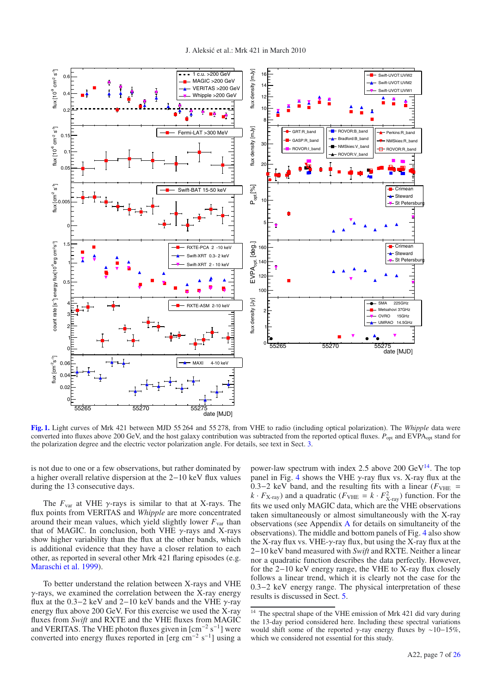

<span id="page-7-0"></span>**[Fig. 1.](http://dexter.edpsciences.org/applet.php?DOI=10.1051/0004-6361/201424811&pdf_id=1)** Light curves of Mrk 421 between MJD 55 264 and 55 278, from VHE to radio (including optical polarization). The *Whipple* data were converted into fluxes above 200 GeV, and the host galaxy contribution was subtracted from the reported optical fluxes.  $P_{opt}$  and EVPA<sub>opt</sub> stand for the polarization degree and the electric vector polarization angle. For details, see text in Sect. [3.](#page-6-0)

is not due to one or a few observations, but rather dominated by a higher overall relative dispersion at the 2−10 keV flux values during the 13 consecutive days.

The  $F_{\text{var}}$  at VHE  $\gamma$ -rays is similar to that at X-rays. The flux points from VERITAS and *Whipple* are more concentrated around their mean values, which yield slightly lower  $F_{\text{var}}$  than that of MAGIC. In conclusion, both VHE  $\gamma$ -rays and X-rays show higher variability than the flux at the other bands, which is additional evidence that they have a closer relation to each other, as reported in several other Mrk 421 flaring episodes (e.g. [Maraschi et al. 1999](#page-16-67)).

To better understand the relation between X-rays and VHE  $\gamma$ -rays, we examined the correlation between the X-ray energy flux at the 0.3−2 keV and 2−10 keV bands and the VHE  $\gamma$ -ray energy flux above 200 GeV. For this exercise we used the X-ray fluxes from *Swift* and RXTE and the VHE fluxes from MAGIC and VERITAS. The VHE photon fluxes given in  $\mathrm{[cm^{-2} s^{-1}]}$  were converted into energy fluxes reported in [erg cm−<sup>2</sup> s−1] using a <span id="page-7-1"></span>power-law spectrum with index 2.5 above 200  $\text{GeV}^{14}$  $\text{GeV}^{14}$  $\text{GeV}^{14}$ . The top panel in Fig. [4](#page-8-3) shows the VHE  $\gamma$ -ray flux vs. X-ray flux at the 0.3−2 keV band, and the resulting fits with a linear ( $F<sub>VHE</sub>$  =  $k \cdot F_{\text{X-ray}}$ ) and a quadratic ( $F_{\text{VHE}} = k \cdot F_{\text{X-ray}}^2$ ) function. For the fits we used only MAGIC data, which are the VHE observations taken simultaneously or almost simultaneously with the X-ray observations (see Appendix [A](#page-18-0) for details on simultaneity of the observations). The middle and bottom panels of Fig. [4](#page-8-3) also show the X-ray flux vs. VHE- $\gamma$ -ray flux, but using the X-ray flux at the 2−10 keV band measured with *Swift* and RXTE. Neither a linear nor a quadratic function describes the data perfectly. However, for the 2−10 keV energy range, the VHE to X-ray flux closely follows a linear trend, which it is clearly not the case for the 0.3−2 keV energy range. The physical interpretation of these results is discussed in Sect. [5.](#page-12-0)

<sup>&</sup>lt;sup>14</sup> The spectral shape of the VHE emission of Mrk 421 did vary during the 13-day period considered here. Including these spectral variations would shift some of the reported  $\gamma$ -ray energy fluxes by ~10−15%, which we considered not essential for this study.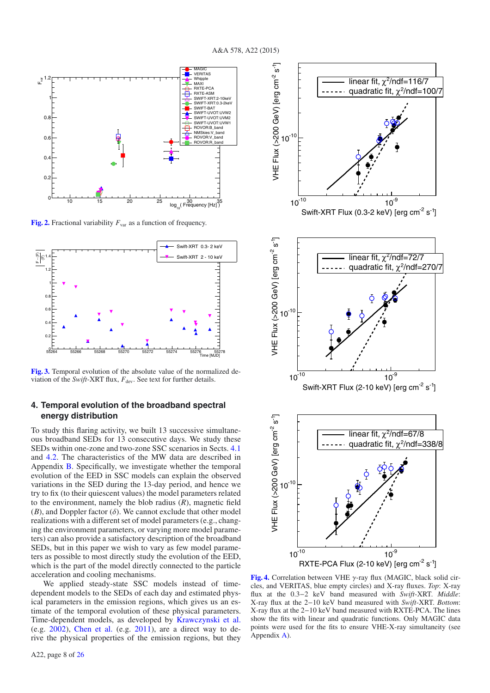ل<br>ج -

VHE Flux (>200 GeV) [erg cm  $10^{-10}$ 

ل<br>ج<br>ج

<span id="page-8-1"></span>

**[Fig. 2.](http://dexter.edpsciences.org/applet.php?DOI=10.1051/0004-6361/201424811&pdf_id=2)** Fractional variability  $F_{var}$  as a function of frequency.

<span id="page-8-2"></span>

**[Fig. 3.](http://dexter.edpsciences.org/applet.php?DOI=10.1051/0004-6361/201424811&pdf_id=3)** Temporal evolution of the absolute value of the normalized deviation of the *Swift*-XRT flux,  $F_{dev}$ . See text for further details.

#### <span id="page-8-0"></span>**4. Temporal evolution of the broadband spectral energy distribution**

To study this flaring activity, we built 13 successive simultaneous broadband SEDs for 13 consecutive days. We study these SEDs within one-zone and two-zone SSC scenarios in Sects. [4.1](#page-9-0) and [4.2.](#page-10-0) The characteristics of the MW data are described in Appendix [B.](#page-20-0) Specifically, we investigate whether the temporal evolution of the EED in SSC models can explain the observed variations in the SED during the 13-day period, and hence we try to fix (to their quiescent values) the model parameters related to the environment, namely the blob radius (*R*), magnetic field  $(B)$ , and Doppler factor  $(\delta)$ . We cannot exclude that other model realizations with a different set of model parameters (e.g., changing the environment parameters, or varying more model parameters) can also provide a satisfactory description of the broadband SEDs, but in this paper we wish to vary as few model parameters as possible to most directly study the evolution of the EED, which is the part of the model directly connected to the particle acceleration and cooling mechanisms.

We applied steady-state SSC models instead of timedependent models to the SEDs of each day and estimated physical parameters in the emission regions, which gives us an estimate of the temporal evolution of these physical parameters. Time-dependent models, as developed by [Krawczynski et al.](#page-16-68) (e.g. [2002](#page-16-68)), [Chen et al.](#page-16-69) (e.g. [2011\)](#page-16-69), are a direct way to derive the physical properties of the emission regions, but they

 $\frac{10^9}{\text{9}}$  - 10<sup>9</sup><br>Swift-XRT Flux (2-10 keV) [erg cm<sup>-2</sup> s<sup>-1</sup>]  $10^{-10}$ VHE Flux (>200 GeV) [erg cm  $0^{-10}$ linear fit,  $\chi^2$ /ndf=72/7 quadratic fit,  $\chi^2$ /ndf=270/7 RXTE-PCA Flux (2-10 keV) [erg cm<sup>-2</sup> s<sup>-1</sup>]  $10^{-10}$   $10^{-9}$ ل<br>ج -ا VHE Flux (>200 GeV) [erg cm  $10^{-10}$ linear fit,  $\chi^2$ /ndf=67/8 quadratic fit,  $\chi^2$ /ndf=338/8

<span id="page-8-3"></span>**[Fig. 4.](http://dexter.edpsciences.org/applet.php?DOI=10.1051/0004-6361/201424811&pdf_id=4)** Correlation between VHE γ-ray flux (MAGIC, black solid circles, and VERITAS, blue empty circles) and X-ray fluxes. *Top*: X-ray flux at the 0.3−2 keV band measured with *Swift*-XRT. *Middle*: X-ray flux at the 2−10 keV band measured with *Swift*-XRT. *Bottom*: X-ray flux at the 2−10 keV band measured with RXTE-PCA. The lines show the fits with linear and quadratic functions. Only MAGIC data points were used for the fits to ensure VHE-X-ray simultaneity (see Appendix [A\)](#page-18-0).

Swift-XRT Flux (0.3-2 keV) [erg cm<sup>-2</sup> s<sup>-1</sup>]

linear fit,  $\chi^2$ /ndf=116/7 quadratic fit,  $χ²/ndf=100/7$ 

 $10^{-10}$   $10^{-9}$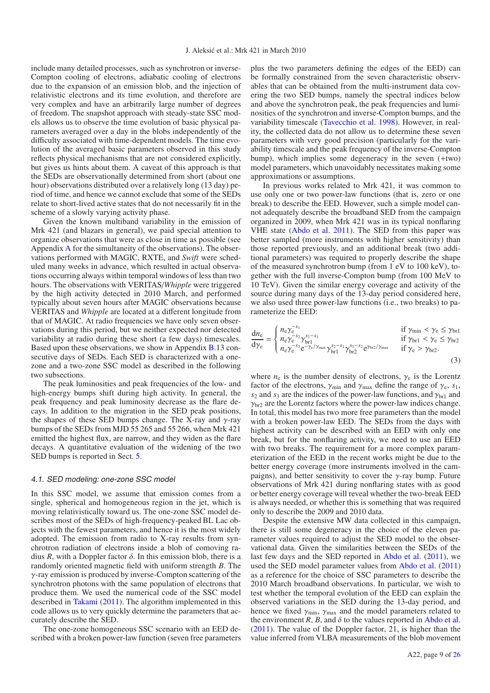include many detailed processes, such as synchrotron or inverse-Compton cooling of electrons, adiabatic cooling of electrons due to the expansion of an emission blob, and the injection of relativistic electrons and its time evolution, and therefore are very complex and have an arbitrarily large number of degrees of freedom. The snapshot approach with steady-state SSC models allows us to observe the time evolution of basic physical parameters averaged over a day in the blobs independently of the difficulty associated with time-dependent models. The time evolution of the averaged basic parameters observed in this study reflects physical mechanisms that are not considered explicitly, but gives us hints about them. A caveat of this approach is that the SEDs are observationally determined from short (about one hour) observations distributed over a relatively long (13 day) period of time, and hence we cannot exclude that some of the SEDs relate to short-lived active states that do not necessarily fit in the scheme of a slowly varying activity phase.

Given the known multiband variability in the emission of Mrk 421 (and blazars in general), we paid special attention to organize observations that were as close in time as possible (see [A](#page-18-0)ppendix  $\overline{A}$  for the simultaneity of the observations). The observations performed with MAGIC, RXTE, and *Swift* were scheduled many weeks in advance, which resulted in actual observations occurring always within temporal windows of less than two hours. The observations with VERITAS/*Whipple* were triggered by the high activity detected in 2010 March, and performed typically about seven hours after MAGIC observations because VERITAS and *Whipple* are located at a different longitude from that of MAGIC. At radio frequencies we have only seven observations during this period, but we neither expected nor detected variability at radio during these short (a few days) timescales. Based upon these observations, we show in Appendix [B.](#page-20-0)13 consecutive days of SEDs. Each SED is characterized with a onezone and a two-zone SSC model as described in the following two subsections.

The peak luminosities and peak frequencies of the low- and high-energy bumps shift during high activity. In general, the peak frequency and peak luminosity decrease as the flare decays. In addition to the migration in the SED peak positions, the shapes of these SED bumps change. The X-ray and  $\gamma$ -ray bumps of the SEDs from MJD 55 265 and 55 266, when Mrk 421 emitted the highest flux, are narrow, and they widen as the flare decays. A quantitative evaluation of the widening of the two SED bumps is reported in Sect. [5.](#page-12-0)

#### <span id="page-9-0"></span>4.1. SED modeling: one-zone SSC model

In this SSC model, we assume that emission comes from a single, spherical and homogeneous region in the jet, which is moving relativistically toward us. The one-zone SSC model describes most of the SEDs of high-frequency-peaked BL Lac objects with the fewest parameters, and hence it is the most widely adopted. The emission from radio to X-ray results from synchrotron radiation of electrons inside a blob of comoving radius *R*, with a Doppler factor  $\delta$ . In this emission blob, there is a randomly oriented magnetic field with uniform strength *B*. The γ-ray emission is produced by inverse-Compton scattering of the synchrotron photons with the same population of electrons that produce them. We used the numerical code of the SSC model described in [Takami](#page-16-70) [\(2011\)](#page-16-70). The algorithm implemented in this code allows us to very quickly determine the parameters that accurately describe the SED.

The one-zone homogeneous SSC scenario with an EED described with a broken power-law function (seven free parameters plus the two parameters defining the edges of the EED) can be formally constrained from the seven characteristic observables that can be obtained from the multi-instrument data covering the two SED bumps, namely the spectral indices below and above the synchrotron peak, the peak frequencies and luminosities of the synchrotron and inverse-Compton bumps, and the variability timescale [\(Tavecchio et al. 1998\)](#page-16-71). However, in reality, the collected data do not allow us to determine these seven parameters with very good precision (particularly for the variability timescale and the peak frequency of the inverse-Compton bump), which implies some degeneracy in the seven (+two) model parameters, which unavoidably necessitates making some approximations or assumptions.

In previous works related to Mrk 421, it was common to use only one or two power-law functions (that is, zero or one break) to describe the EED. However, such a simple model cannot adequately describe the broadband SED from the campaign organized in 2009, when Mrk 421 was in its typical nonflaring VHE state [\(Abdo et al. 2011\)](#page-16-15). The SED from this paper was better sampled (more instruments with higher sensitivity) than those reported previously, and an additional break (two additional parameters) was required to properly describe the shape of the measured synchrotron bump (from 1 eV to 100 keV), together with the full inverse-Compton bump (from 100 MeV to 10 TeV). Given the similar energy coverage and activity of the source during many days of the 13-day period considered here, we also used three power-law functions (i.e., two breaks) to parameterize the EED:

$$
\frac{dn_e}{d\gamma_e} = \begin{cases}\nn_e \gamma_e^{-s_1} & \text{if } \gamma_{\text{min}} < \gamma_e \le \gamma_{\text{br}} \\
n_e \gamma_e^{-s_2} \gamma_{\text{br}}^{s_2 - s_1} & \text{if } \gamma_{\text{br}} < \gamma_e \le \gamma_{\text{br}} \\
n_e \gamma_e^{-s_3} e^{-\gamma_e/\gamma_{\text{max}}} \gamma_{\text{br}}^{s_2 - s_1} \gamma_{\text{br}}^{s_3 - s_2} e^{\gamma_{\text{br}}/\gamma_{\text{max}}} & \text{if } \gamma_e > \gamma_{\text{br}}.\n\end{cases}
$$
\n(3)

where  $n_e$  is the number density of electrons,  $\gamma_e$  is the Lorentz factor of the electrons,  $\gamma_{\text{min}}$  and  $\gamma_{\text{max}}$  define the range of  $\gamma_e$ ,  $s_1$ ,  $s_2$  and  $s_3$  are the indices of the power-law functions, and  $\gamma_{\rm br1}$  and  $\gamma_{\rm br2}$  are the Lorentz factors where the power-law indices change. In total, this model has two more free parameters than the model with a broken power-law EED. The SEDs from the days with highest activity can be described with an EED with only one break, but for the nonflaring activity, we need to use an EED with two breaks. The requirement for a more complex parameterization of the EED in the recent works might be due to the better energy coverage (more instruments involved in the campaigns), and better sensitivity to cover the  $\gamma$ -ray bump. Future observations of Mrk 421 during nonflaring states with as good or better energy coverage will reveal whether the two-break EED is always needed, or whether this is something that was required only to describe the 2009 and 2010 data.

Despite the extensive MW data collected in this campaign, there is still some degeneracy in the choice of the eleven parameter values required to adjust the SED model to the observational data. Given the similarities between the SEDs of the last few days and the SED reported in [Abdo et al.](#page-16-15) [\(2011\)](#page-16-15), we used the SED model parameter values from [Abdo et al.](#page-16-15) [\(2011](#page-16-15)) as a reference for the choice of SSC parameters to describe the 2010 March broadband observations. In particular, we wish to test whether the temporal evolution of the EED can explain the observed variations in the SED during the 13-day period, and hence we fixed  $\gamma_{\text{min}}$ ,  $\gamma_{\text{max}}$  and the model parameters related to the environment  $R$ ,  $B$ , and  $\delta$  to the values reported in [Abdo et al.](#page-16-15) [\(2011\)](#page-16-15). The value of the Doppler factor, 21, is higher than the value inferred from VLBA measurements of the blob movement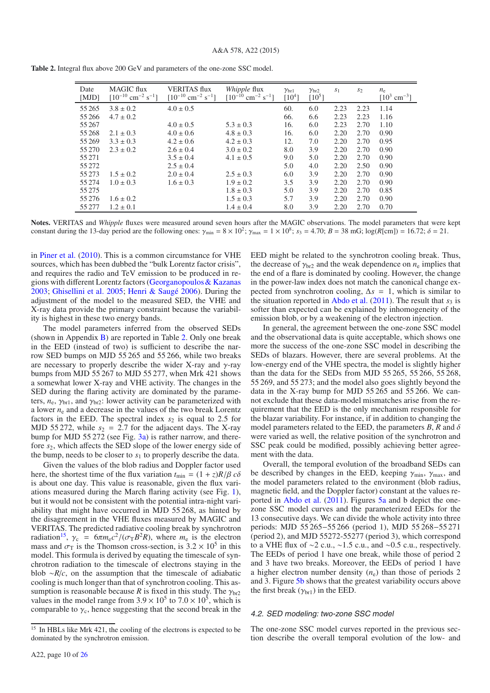| Date<br>[MJD] | <b>MAGIC</b> flux<br>$[10^{-10}$ cm <sup>-2</sup> s <sup>-1</sup> ] | <b>VERITAS</b> flux<br>$[10^{-10}$ cm <sup>-2</sup> s <sup>-1</sup> ] | <i>Whipple</i> flux<br>$[10^{-10}$ cm <sup>-2</sup> s <sup>-1</sup> ] | $\gamma_{\rm br1}$<br>$[10^4]$ | $\gamma_{\rm br2}$<br>$\lceil 10^5 \rceil$ | S <sub>1</sub> | S <sub>2</sub> | $n_{\rm e}$<br>$[10^3$ cm <sup>-3</sup> ] |
|---------------|---------------------------------------------------------------------|-----------------------------------------------------------------------|-----------------------------------------------------------------------|--------------------------------|--------------------------------------------|----------------|----------------|-------------------------------------------|
| 55 265        | $3.8 \pm 0.2$                                                       | $4.0 \pm 0.5$                                                         |                                                                       | 60.                            | 6.0                                        | 2.23           | 2.23           | 1.14                                      |
| 55 26 6       | $4.7 \pm 0.2$                                                       |                                                                       |                                                                       | 66.                            | 6.6                                        | 2.23           | 2.23           | 1.16                                      |
| 55 267        |                                                                     | $4.0 \pm 0.5$                                                         | $5.3 \pm 0.3$                                                         | 16.                            | 6.0                                        | 2.23           | 2.70           | 1.10                                      |
| 55 268        | $2.1 \pm 0.3$                                                       | $4.0 \pm 0.6$                                                         | $4.8 \pm 0.3$                                                         | 16.                            | 6.0                                        | 2.20           | 2.70           | 0.90                                      |
| 55 269        | $3.3 \pm 0.3$                                                       | $4.2 \pm 0.6$                                                         | $4.2 \pm 0.3$                                                         | 12.                            | 7.0                                        | 2.20           | 2.70           | 0.95                                      |
| 55 270        | $2.3 \pm 0.2$                                                       | $2.6 \pm 0.4$                                                         | $3.0 \pm 0.2$                                                         | 8.0                            | 3.9                                        | 2.20           | 2.70           | 0.90                                      |
| 55 27 1       |                                                                     | $3.5 \pm 0.4$                                                         | $4.1 \pm 0.5$                                                         | 9.0                            | 5.0                                        | 2.20           | 2.70           | 0.90                                      |
| 55 27 2       |                                                                     | $2.5 \pm 0.4$                                                         |                                                                       | 5.0                            | 4.0                                        | 2.20           | 2.50           | 0.90                                      |
| 55 273        | $1.5 \pm 0.2$                                                       | $2.0 \pm 0.4$                                                         | $2.5 \pm 0.3$                                                         | 6.0                            | 3.9                                        | 2.20           | 2.70           | 0.90                                      |
| 55 274        | $1.0 \pm 0.3$                                                       | $1.6 \pm 0.3$                                                         | $1.9 \pm 0.2$                                                         | 3.5                            | 3.9                                        | 2.20           | 2.70           | 0.90                                      |
| 55 27 5       |                                                                     |                                                                       | $1.8 \pm 0.3$                                                         | 5.0                            | 3.9                                        | 2.20           | 2.70           | 0.85                                      |
| 55 27 6       | $1.6 \pm 0.2$                                                       |                                                                       | $1.5 \pm 0.3$                                                         | 5.7                            | 3.9                                        | 2.20           | 2.70           | 0.90                                      |
| 55 277        | $1.2 \pm 0.1$                                                       |                                                                       | $1.4 \pm 0.4$                                                         | 8.0                            | 3.9                                        | 2.20           | 2.70           | 0.70                                      |

<span id="page-10-1"></span>**Table 2.** Integral flux above 200 GeV and parameters of the one-zone SSC model.

**Notes.** VERITAS and *Whipple* fluxes were measured around seven hours after the MAGIC observations. The model parameters that were kept constant during the 13-day period are the following ones:  $\gamma_{\text{min}} = 8 \times 10^2$ ;  $\gamma_{\text{max}} = 1 \times 10^8$ ;  $s_3 = 4.70$ ;  $B = 38$  mG; log(*R*[cm]) = 16.72;  $\delta = 21$ .

in [Piner et al.](#page-16-72) [\(2010](#page-16-72)). This is a common circumstance for VHE sources, which has been dubbed the "bulk Lorentz factor crisis", and requires the radio and TeV emission to be produced in regions with different Lorentz factors [\(Georganopoulos & Kazanas](#page-16-73) [2003;](#page-16-73) [Ghisellini et al. 2005;](#page-16-74) [Henri & Saugé 2006](#page-16-75)). During the adjustment of the model to the measured SED, the VHE and X-ray data provide the primary constraint because the variability is highest in these two energy bands.

The model parameters inferred from the observed SEDs (shown in Appendix [B\)](#page-20-0) are reported in Table [2.](#page-10-1) Only one break in the EED (instead of two) is sufficient to describe the narrow SED bumps on MJD 55 265 and 55 266, while two breaks are necessary to properly describe the wider X-ray and  $\gamma$ -ray bumps from MJD 55 267 to MJD 55 277, when Mrk 421 shows a somewhat lower X-ray and VHE activity. The changes in the SED during the flaring activity are dominated by the parameters,  $n_e$ ,  $\gamma_{\text{br1}}$ , and  $\gamma_{\text{br2}}$ : lower activity can be parameterized with a lower  $n_e$  and a decrease in the values of the two break Lorentz factors in the EED. The spectral index  $s_2$  is equal to 2.5 for MJD 55 272, while  $s_2 = 2.7$  for the adjacent days. The X-ray bump for MJD 55 272 (see Fig. [3a\)](#page-22-0) is rather narrow, and therefore *s*2, which affects the SED slope of the lower energy side of the bump, needs to be closer to  $s_1$  to properly describe the data.

<span id="page-10-2"></span>Given the values of the blob radius and Doppler factor used here, the shortest time of the flux variation  $t_{\text{min}} = (1 + z)R/\beta c\delta$ is about one day. This value is reasonable, given the flux variations measured during the March flaring activity (see Fig. [1\)](#page-7-0), but it would not be consistent with the potential intra-night variability that might have occurred in MJD 55 268, as hinted by the disagreement in the VHE fluxes measured by MAGIC and VERITAS. The predicted radiative cooling break by synchrotron radiation<sup>15</sup>,  $\gamma_c = 6\pi m_e c^2/(\sigma T B^2 R)$ , where  $m_e$  is the electron mass and  $\sigma_{\rm T}$  is the Thomson cross-section, is 3.2  $\times$  10<sup>5</sup> in this model. This formula is derived by equating the timescale of synchrotron radiation to the timescale of electrons staying in the blob ∼*R*/*c*, on the assumption that the timescale of adiabatic cooling is much longer than that of synchrotron cooling. This assumption is reasonable because *R* is fixed in this study. The  $\gamma_{\text{br2}}$ values in the model range from  $3.9 \times 10^5$  to  $7.0 \times 10^5$ , which is comparable to  $\gamma_c$ , hence suggesting that the second break in the EED might be related to the synchrotron cooling break. Thus, the decrease of  $\gamma_{\text{br2}}$  and the weak dependence on  $n_e$  implies that the end of a flare is dominated by cooling. However, the change in the power-law index does not match the canonical change expected from synchrotron cooling,  $\Delta s = 1$ , which is similar to the situation reported in [Abdo et al.](#page-16-15)  $(2011)$ . The result that  $s_3$  is softer than expected can be explained by inhomogeneity of the emission blob, or by a weakening of the electron injection.

In general, the agreement between the one-zone SSC model and the observational data is quite acceptable, which shows one more the success of the one-zone SSC model in describing the SEDs of blazars. However, there are several problems. At the low-energy end of the VHE spectra, the model is slightly higher than the data for the SEDs from MJD 55 265, 55 266, 55 268, 55 269, and 55 273; and the model also goes slightly beyond the data in the X-ray bump for MJD 55 265 and 55 266. We cannot exclude that these data-model mismatches arise from the requirement that the EED is the only mechanism responsible for the blazar variability. For instance, if in addition to changing the model parameters related to the EED, the parameters  $B$ ,  $R$  and  $\delta$ were varied as well, the relative position of the synchrotron and SSC peak could be modified, possibly achieving better agreement with the data.

Overall, the temporal evolution of the broadband SEDs can be described by changes in the EED, keeping  $\gamma_{min}$ ,  $\gamma_{max}$ , and the model parameters related to the environment (blob radius, magnetic field, and the Doppler factor) constant at the values reported in [Abdo et al.](#page-16-15) [\(2011](#page-16-15)). Figures [5a](#page-11-0) and b depict the onezone SSC model curves and the parameterized EEDs for the 13 consecutive days. We can divide the whole activity into three periods: MJD 55 265−55 266 (period 1), MJD 55 268−55 271 (period 2), and MJD 55272-55277 (period 3), which correspond to a VHE flux of ∼2 c.u., ∼1.5 c.u., and ∼0.5 c.u., respectively. The EEDs of period 1 have one break, while those of period 2 and 3 have two breaks. Moreover, the EEDs of period 1 have a higher electron number density  $(n_e)$  than those of periods 2 and 3. Figure [5b](#page-11-1) shows that the greatest variability occurs above the first break  $(\gamma_{\rm br1})$  in the EED.

#### <span id="page-10-0"></span>4.2. SED modeling: two-zone SSC model

The one-zone SSC model curves reported in the previous section describe the overall temporal evolution of the low- and

<sup>&</sup>lt;sup>15</sup> In HBLs like Mrk 421, the cooling of the electrons is expected to be dominated by the synchrotron emission.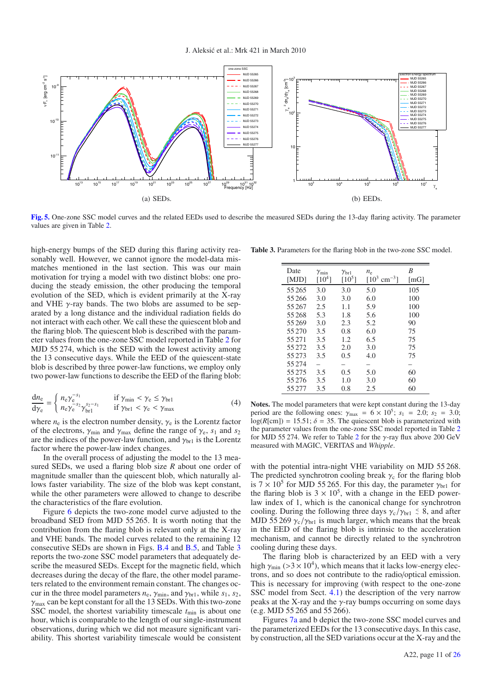<span id="page-11-2"></span><span id="page-11-1"></span>J. Aleksic et al.: Mrk 421 in March 2010 ´

<span id="page-11-0"></span>

**[Fig. 5.](http://dexter.edpsciences.org/applet.php?DOI=10.1051/0004-6361/201424811&pdf_id=5)** One-zone SSC model curves and the related EEDs used to describe the measured SEDs during the 13-day flaring activity. The parameter values are given in Table [2.](#page-10-1)

high-energy bumps of the SED during this flaring activity reasonably well. However, we cannot ignore the model-data mismatches mentioned in the last section. This was our main motivation for trying a model with two distinct blobs: one producing the steady emission, the other producing the temporal evolution of the SED, which is evident primarily at the X-ray and VHE  $\gamma$ -ray bands. The two blobs are assumed to be separated by a long distance and the individual radiation fields do not interact with each other. We call these the quiescent blob and the flaring blob. The quiescent blob is described with the parameter values from the one-zone SSC model reported in Table [2](#page-10-1) for MJD 55 274, which is the SED with the lowest activity among the 13 consecutive days. While the EED of the quiescent-state blob is described by three power-law functions, we employ only two power-law functions to describe the EED of the flaring blob:

$$
\frac{dn_e}{dy_e} = \begin{cases}\nn_e \gamma_e^{-s_1} & \text{if } \gamma_{\text{min}} < \gamma_e \le \gamma_{\text{br1}} \\
n_e \gamma_e^{-s_2} \gamma_{\text{br1}}^{s_2 - s_1} & \text{if } \gamma_{\text{br1}} < \gamma_e < \gamma_{\text{max}}\n\end{cases} \tag{4}
$$

where  $n_e$  is the electron number density,  $\gamma_e$  is the Lorentz factor of the electrons,  $\gamma_{\text{min}}$  and  $\gamma_{\text{max}}$  define the range of  $\gamma_e$ ,  $s_1$  and  $s_2$ are the indices of the power-law function, and  $\gamma_{\text{br1}}$  is the Lorentz factor where the power-law index changes.

In the overall process of adjusting the model to the 13 measured SEDs, we used a flaring blob size *R* about one order of magnitude smaller than the quiescent blob, which naturally allows faster variability. The size of the blob was kept constant, while the other parameters were allowed to change to describe the characteristics of the flare evolution.

Figure [6](#page-12-1) depicts the two-zone model curve adjusted to the broadband SED from MJD 55 265. It is worth noting that the contribution from the flaring blob is relevant only at the X-ray and VHE bands. The model curves related to the remaining 12 consecutive SEDs are shown in Figs. [B.4](#page-23-0) and [B.5,](#page-24-0) and Table [3](#page-11-2) reports the two-zone SSC model parameters that adequately describe the measured SEDs. Except for the magnetic field, which decreases during the decay of the flare, the other model parameters related to the environment remain constant. The changes occur in the three model parameters  $n_e$ ,  $\gamma_{\text{min}}$ , and  $\gamma_{\text{br1}}$ , while  $s_1$ ,  $s_2$ ,  $\gamma_{\text{max}}$  can be kept constant for all the 13 SEDs. With this two-zone SSC model, the shortest variability timescale  $t_{\text{min}}$  is about one hour, which is comparable to the length of our single-instrument observations, during which we did not measure significant variability. This shortest variability timescale would be consistent

**Table 3.** Parameters for the flaring blob in the two-zone SSC model.

| Date<br>[MJD] | $\gamma_{\rm min}$<br>$\lceil 10^4 \rceil$ | $\gamma_{\rm br1}$<br>$\lceil 10^5 \rceil$ | $n_{\rm e}$<br>$[10^3 \text{ cm}^{-3}]$ | B<br>$\lceil mG \rceil$ |
|---------------|--------------------------------------------|--------------------------------------------|-----------------------------------------|-------------------------|
| 55 265        | 3.0                                        | 3.0                                        | 5.0                                     | 105                     |
| 55 266        | 3.0                                        | 3.0                                        | 6.0                                     | 100                     |
| 55 267        | 2.5                                        | 1.1                                        | 5.9                                     | 100                     |
| 55 268        | 5.3                                        | 1.8                                        | 5.6                                     | 100                     |
| 55 269        | 3.0                                        | 2.3                                        | 5.2                                     | 90                      |
| 55 270        | 3.5                                        | 0.8                                        | 6.0                                     | 75                      |
| 55 271        | 3.5                                        | 1.2                                        | 6.5                                     | 75                      |
| 55 27 2       | 3.5                                        | 2.0                                        | 3.0                                     | 75                      |
| 55 273        | 3.5                                        | 0.5                                        | 4.0                                     | 75                      |
| 55 274        |                                            |                                            |                                         |                         |
| 55 275        | 3.5                                        | 0.5                                        | 5.0                                     | 60                      |
| 55 276        | 3.5                                        | 1.0                                        | 3.0                                     | 60                      |
| 55 277        | 3.5                                        | 0.8                                        | 2.5                                     | 60                      |

**Notes.** The model parameters that were kept constant during the 13-day period are the following ones:  $\gamma_{\text{max}} = 6 \times 10^5$ ;  $s_1 = 2.0$ ;  $s_2 = 3.0$ ;  $log(R[\text{cm}]) = 15.51$ ;  $\delta = 35$ . The quiescent blob is parameterized with the parameter values from the one-zone SSC model reported in Table [2](#page-10-1) for MJD 55 [2](#page-10-1)74. We refer to Table 2 for the  $\gamma$ -ray flux above 200 GeV measured with MAGIC, VERITAS and *Whipple*.

with the potential intra-night VHE variability on MJD 55 268. The predicted synchrotron cooling break  $\gamma_c$  for the flaring blob is  $7 \times 10^5$  for MJD 55 265. For this day, the parameter  $\gamma_{\rm br1}$  for the flaring blob is  $3 \times 10^5$ , with a change in the EED powerlaw index of 1, which is the canonical change for synchrotron cooling. During the following three days  $\gamma_c/\gamma_{br1} \leq 8$ , and after MJD 55 269  $\gamma_c/\gamma_{br1}$  is much larger, which means that the break in the EED of the flaring blob is intrinsic to the acceleration mechanism, and cannot be directly related to the synchrotron cooling during these days.

The flaring blob is characterized by an EED with a very high  $\gamma_{\text{min}}$  (>3 × 10<sup>4</sup>), which means that it lacks low-energy electrons, and so does not contribute to the radio/optical emission. This is necessary for improving (with respect to the one-zone SSC model from Sect. [4.1\)](#page-9-0) the description of the very narrow peaks at the X-ray and the  $\gamma$ -ray bumps occurring on some days (e.g. MJD 55 265 and 55 266).

Figures [7a](#page-12-2) and b depict the two-zone SSC model curves and the parameterized EEDs for the 13 consecutive days. In this case, by construction, all the SED variations occur at the X-ray and the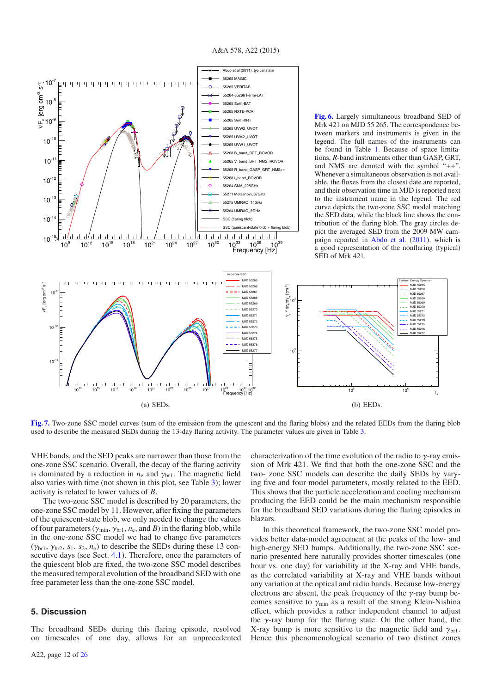<span id="page-12-1"></span>

<span id="page-12-2"></span>**[Fig. 7.](http://dexter.edpsciences.org/applet.php?DOI=10.1051/0004-6361/201424811&pdf_id=7)** Two-zone SSC model curves (sum of the emission from the quiescent and the flaring blobs) and the related EEDs from the flaring blob used to describe the measured SEDs during the 13-day flaring activity. The parameter values are given in Table [3.](#page-11-2)

VHE bands, and the SED peaks are narrower than those from the one-zone SSC scenario. Overall, the decay of the flaring activity is dominated by a reduction in  $n_e$  and  $\gamma_{\text{brl}}$ . The magnetic field also varies with time (not shown in this plot, see Table [3\)](#page-11-2); lower activity is related to lower values of *B*.

The two-zone SSC model is described by 20 parameters, the one-zone SSC model by 11. However, after fixing the parameters of the quiescent-state blob, we only needed to change the values of four parameters ( $\gamma_{\text{min}}$ ,  $\gamma_{\text{br1}}$ ,  $n_{\text{e}}$ , and *B*) in the flaring blob, while in the one-zone SSC model we had to change five parameters  $(\gamma_{\text{br1}}, \gamma_{\text{br2}}, s_1, s_2, n_e)$  to describe the SEDs during these 13 consecutive days (see Sect. [4.1\)](#page-9-0). Therefore, once the parameters of the quiescent blob are fixed, the two-zone SSC model describes the measured temporal evolution of the broadband SED with one free parameter less than the one-zone SSC model.

#### <span id="page-12-0"></span>**5. Discussion**

The broadband SEDs during this flaring episode, resolved on timescales of one day, allows for an unprecedented characterization of the time evolution of the radio to  $\gamma$ -ray emission of Mrk 421. We find that both the one-zone SSC and the two- zone SSC models can describe the daily SEDs by varying five and four model parameters, mostly related to the EED. This shows that the particle acceleration and cooling mechanism producing the EED could be the main mechanism responsible for the broadband SED variations during the flaring episodes in blazars.

In this theoretical framework, the two-zone SSC model provides better data-model agreement at the peaks of the low- and high-energy SED bumps. Additionally, the two-zone SSC scenario presented here naturally provides shorter timescales (one hour vs. one day) for variability at the X-ray and VHE bands, as the correlated variability at X-ray and VHE bands without any variation at the optical and radio bands. Because low-energy electrons are absent, the peak frequency of the  $\gamma$ -ray bump becomes sensitive to  $\gamma_{\text{min}}$  as a result of the strong Klein-Nishina effect, which provides a rather independent channel to adjust the  $\gamma$ -ray bump for the flaring state. On the other hand, the X-ray bump is more sensitive to the magnetic field and  $\gamma_{\rm br1}$ . Hence this phenomenological scenario of two distinct zones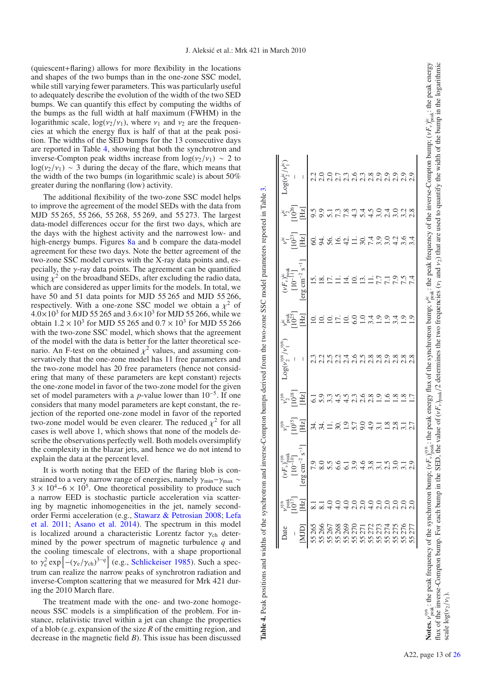(quiescent+flaring) allows for more flexibility in the locations and shapes of the two bumps than in the one-zone SSC model, while still varying fewer parameters. This was particularly useful to adequately describe the evolution of the width of the two SED bumps. We can quantify this effect by computing the widths of the bumps as the full width at half maximum (FWHM) in the logarithmic scale,  $log(\nu_2/\nu_1)$ , where  $\nu_1$  and  $\nu_2$  are the frequencies at which the energy flux is half of that at the peak position. The widths of the SED bumps for the 13 consecutive days are reported in Table [4,](#page-13-0) showing that both the synchrotron and inverse-Compton peak widths increase from  $log(v_2/v_1) \sim 2$  to  $log(\nu_2/\nu_1) \sim 3$  during the decay of the flare, which means that the width of the two bumps (in logarithmic scale) is about 50% greater during the nonflaring (low) activity.

The additional flexibility of the two-zone SSC model helps to improve the agreement of the model SEDs with the data from MJD 55 265, 55 266, 55 268, 55 269, and 55 273. The largest data-model differences occur for the first two days, which are the days with the highest activity and the narrowest low- and high-energy bumps. Figures [8a](#page-14-0) and b compare the data-model agreement for these two days. Note the better agreement of the two-zone SSC model curves with the X-ray data points and, especially, the  $\gamma$ -ray data points. The agreement can be quantified using  $\chi^2$  on the broadband SEDs, after excluding the radio data, which are considered as upper limits for the models. In total, we have 50 and 51 data points for MJD 55 265 and MJD 55 266, respectively. With a one-zone SSC model we obtain a  $\chi^2$  of  $4.0 \times 10^{3}$  for MJD 55 265 and  $3.6 \times 10^{3}$  for MJD 55 266, while we obtain  $1.2 \times 10^3$  for MJD 55 265 and  $0.7 \times 10^3$  for MJD 55 266 with the two-zone SSC model, which shows that the agreement of the model with the data is better for the latter theoretical scenario. An F-test on the obtained  $\chi^2$  values, and assuming conservatively that the one-zone model has 11 free parameters and the two-zone model has 20 free parameters (hence not considering that many of these parameters are kept constant) rejects the one-zone model in favor of the two-zone model for the given set of model parameters with a *p*-value lower than 10−5. If one considers that many model parameters are kept constant, the rejection of the reported one-zone model in favor of the reported two-zone model would be even clearer. The reduced  $\chi^2$  for all cases is well above 1, which shows that none of the models describe the observations perfectly well. Both models oversimplify the complexity in the blazar jets, and hence we do not intend to explain the data at the percent level.

It is worth noting that the EED of the flaring blob is constrained to a very narrow range of energies, namely  $\gamma_{min} - \gamma_{max} \sim$  $3 \times 10^4 - 6 \times 10^5$ . One theoretical possibility to produce such a narrow EED is stochastic particle acceleration via scattering by magnetic inhomogeneities in the jet, namely secondorder Fermi acceleration (e.g., [Stawarz & Petrosian 2008](#page-16-76)[;](#page-16-77) Lefa et al. [2011](#page-16-77); [Asano et al. 2014\)](#page-16-78). The spectrum in this model is localized around a characteristic Lorentz factor  $\gamma_{ch}$  determined by the power spectrum of magnetic turbulence *q* and the cooling timescale of electrons, with a shape proportional to γ<sup>2</sup> exp  $\left[-(\gamma_e/\gamma_{ch})^{3-q}\right]$  (e.g., [Schlickeiser 1985\)](#page-16-79). Such a spectrum can realize the narrow peaks of synchrotron radiation and inverse-Compton scattering that we measured for Mrk 421 during the 2010 March flare.

The treatment made with the one- and two-zone homogeneous SSC models is a simplification of the problem. For instance, relativistic travel within a jet can change the properties of a blob (e.g. expansion of the size *R* of the emitting region, and decrease in the magnetic field *B*). This issue has been discussed

| $\left\  \begin{array}{llllll} \frac{1}{2} & \frac{1}{2} & \frac{1}{2} & \frac{1}{2} & \frac{1}{2} & \frac{1}{2} & \frac{1}{2} & \frac{1}{2} & \frac{1}{2} & \frac{1}{2} & \frac{1}{2} & \frac{1}{2} & \frac{1}{2} & \frac{1}{2} & \frac{1}{2} & \frac{1}{2} & \frac{1}{2} & \frac{1}{2} & \frac{1}{2} & \frac{1}{2} & \frac{1}{2} & \frac{1}{2} & \frac{1}{2} & \frac{1}{2} & \frac{1}{2} & \frac{1}{2}$ |                                                      |                                 |                                                                                                                                                                                                                                                                                                                                                                                                                                                                  | $v_2^{\rm sm}$ $\frac{10^{18}}{212}$                                                                                                                                                                                                                                                                                                                                                                           |                                                       |              |                                        |                           |                                    |  |
|-----------------------------------------------------------------------------------------------------------------------------------------------------------------------------------------------------------------------------------------------------------------------------------------------------------------------------------------------------------------------------------------------------------|------------------------------------------------------|---------------------------------|------------------------------------------------------------------------------------------------------------------------------------------------------------------------------------------------------------------------------------------------------------------------------------------------------------------------------------------------------------------------------------------------------------------------------------------------------------------|----------------------------------------------------------------------------------------------------------------------------------------------------------------------------------------------------------------------------------------------------------------------------------------------------------------------------------------------------------------------------------------------------------------|-------------------------------------------------------|--------------|----------------------------------------|---------------------------|------------------------------------|--|
|                                                                                                                                                                                                                                                                                                                                                                                                           |                                                      |                                 |                                                                                                                                                                                                                                                                                                                                                                                                                                                                  |                                                                                                                                                                                                                                                                                                                                                                                                                |                                                       |              |                                        |                           |                                    |  |
|                                                                                                                                                                                                                                                                                                                                                                                                           |                                                      | $\mathrm{erg\,cm^{-2}\,s^{-1}}$ | $10^{15}$<br>$\overline{Hz}$                                                                                                                                                                                                                                                                                                                                                                                                                                     |                                                                                                                                                                                                                                                                                                                                                                                                                |                                                       |              | $\frac{110^{13}}{25}$<br>$\frac{1}{2}$ | $\stackrel{3}{\cong} \Xi$ | $\frac{v_2^{16}}{10^{26}}$<br>[Hz] |  |
|                                                                                                                                                                                                                                                                                                                                                                                                           | $\overline{\infty}$                                  | 0.05<br>0.067                   | $\begin{array}{cccccccccc}\n\dot{\pi} & \dot{\pi} & \dot{\pi} & \dot{\pi} & \dot{\pi} & \dot{\pi} & \dot{\pi} & \dot{\pi} & \dot{\pi} & \dot{\pi} & \dot{\pi} & \dot{\pi} & \dot{\pi} & \dot{\pi} & \dot{\pi} & \dot{\pi} & \dot{\pi} & \dot{\pi} & \dot{\pi} & \dot{\pi} & \dot{\pi} & \dot{\pi} & \dot{\pi} & \dot{\pi} & \dot{\pi} & \dot{\pi} & \dot{\pi} & \dot{\pi} & \dot{\pi} & \dot{\pi} & \dot{\pi} & \dot{\pi} & \dot{\pi} & \dot{\pi} & \dot{\pi} &$ | $\begin{array}{l} \mathbf{-0.5} \\ \mathbf{0.7} \\ \mathbf{0.8} \\ \mathbf{0.9} \\ \mathbf{0.9} \\ \mathbf{1.1} \\ \mathbf{1.3} \\ \mathbf{1.4} \\ \mathbf{1.5} \\ \mathbf{1.6} \\ \mathbf{1.7} \\ \mathbf{1.8} \\ \mathbf{1.9} \\ \mathbf{1.9} \\ \mathbf{1.9} \\ \mathbf{1.9} \\ \mathbf{1.9} \\ \mathbf{1.9} \\ \mathbf{1.9} \\ \mathbf{1.9} \\ \mathbf{1.1} \\ \mathbf{1.1} \\ \mathbf{1.1} \\ \mathbf{1.$ | n<br>Contration composition<br>Contration composition |              | hishidanirrant                         | S3654187639465            | oonrrandedaan<br>Sonrrandedaan     |  |
|                                                                                                                                                                                                                                                                                                                                                                                                           |                                                      |                                 |                                                                                                                                                                                                                                                                                                                                                                                                                                                                  |                                                                                                                                                                                                                                                                                                                                                                                                                |                                                       |              |                                        |                           |                                    |  |
|                                                                                                                                                                                                                                                                                                                                                                                                           |                                                      |                                 |                                                                                                                                                                                                                                                                                                                                                                                                                                                                  |                                                                                                                                                                                                                                                                                                                                                                                                                |                                                       |              |                                        |                           |                                    |  |
|                                                                                                                                                                                                                                                                                                                                                                                                           |                                                      |                                 |                                                                                                                                                                                                                                                                                                                                                                                                                                                                  |                                                                                                                                                                                                                                                                                                                                                                                                                |                                                       |              |                                        |                           |                                    |  |
|                                                                                                                                                                                                                                                                                                                                                                                                           |                                                      |                                 |                                                                                                                                                                                                                                                                                                                                                                                                                                                                  |                                                                                                                                                                                                                                                                                                                                                                                                                |                                                       |              |                                        |                           |                                    |  |
|                                                                                                                                                                                                                                                                                                                                                                                                           | 1 0 0 0 0 0 0 0 0 0 0 0<br>8 4 4 4 6 6 7 4 6 6 7 6 7 | 196815019<br>6 3 4 5 5 6 7 6 70 |                                                                                                                                                                                                                                                                                                                                                                                                                                                                  |                                                                                                                                                                                                                                                                                                                                                                                                                |                                                       | 010001001001 |                                        |                           |                                    |  |
|                                                                                                                                                                                                                                                                                                                                                                                                           |                                                      |                                 |                                                                                                                                                                                                                                                                                                                                                                                                                                                                  |                                                                                                                                                                                                                                                                                                                                                                                                                |                                                       |              |                                        |                           |                                    |  |
|                                                                                                                                                                                                                                                                                                                                                                                                           |                                                      |                                 |                                                                                                                                                                                                                                                                                                                                                                                                                                                                  |                                                                                                                                                                                                                                                                                                                                                                                                                |                                                       |              |                                        |                           |                                    |  |
|                                                                                                                                                                                                                                                                                                                                                                                                           |                                                      |                                 |                                                                                                                                                                                                                                                                                                                                                                                                                                                                  |                                                                                                                                                                                                                                                                                                                                                                                                                |                                                       |              |                                        |                           |                                    |  |
|                                                                                                                                                                                                                                                                                                                                                                                                           |                                                      |                                 |                                                                                                                                                                                                                                                                                                                                                                                                                                                                  |                                                                                                                                                                                                                                                                                                                                                                                                                |                                                       |              |                                        |                           |                                    |  |
|                                                                                                                                                                                                                                                                                                                                                                                                           |                                                      |                                 |                                                                                                                                                                                                                                                                                                                                                                                                                                                                  |                                                                                                                                                                                                                                                                                                                                                                                                                |                                                       |              |                                        |                           |                                    |  |
|                                                                                                                                                                                                                                                                                                                                                                                                           |                                                      |                                 |                                                                                                                                                                                                                                                                                                                                                                                                                                                                  |                                                                                                                                                                                                                                                                                                                                                                                                                |                                                       |              |                                        |                           |                                    |  |
|                                                                                                                                                                                                                                                                                                                                                                                                           |                                                      |                                 |                                                                                                                                                                                                                                                                                                                                                                                                                                                                  |                                                                                                                                                                                                                                                                                                                                                                                                                |                                                       |              |                                        |                           |                                    |  |

**Table 4.** Peak positions and widths of the synchrotron and inverse-Compton bumps derived from the two-zone SSC model parameters reported in Table [3.](#page-11-2)

<span id="page-13-0"></span>Table 4. Peak positions and widths of the synchrotron and inverse-Compton bumps derived from the two-zone SSC model parameters reported in Table 3.

**Notes.**  $v_{\text{peak}}^{s,n}$ : the peak frequency of the synchrotron bump;  $(vF_v)_{\text{peak}}^{s,n}$ : the peak energy flux of the synchrotron bump;  $v_{\text{peak}}^{i\circ}$ : the peak frequency of the inverse-Compton bump;  $(vF_v)_{\text{peak}}^{i\circ}$ : the pe **Notes.**  $v_{\text{peak}}^{3/9}$ , the peak frequency of the synchrotron bump;  $(vF_v)_{\text{peak}}^{3/9}$ , the peak energy flux of the synchrotron bump;  $v_{\text{peak}}^{i\text{c}}$ ; the peak frequency of the inverse-Compton bump;  $(vF_v)_{\text{peak}}^{i\text{c}}$ ; flux of the inverse-Compton bump. For each bump in the SED, the value of  $(vF_v)_{\text{reak}}/2$  determines the two frequencies  $(v_1$  and  $v_2)$  that are used to quantify the width of the bump in the logarithmic flux of the inverse-Compton bump. For each bump in the SED, the value of  $(vF_v)_{peak}/2$  determines the two frequencies ( $v_1$  and  $v_2$ ) that are used to quantify the width of the bump in the logarithmic scale  $\log(\nu_2/\nu_1)$ . scale  $\log(\nu_2/\nu_1)$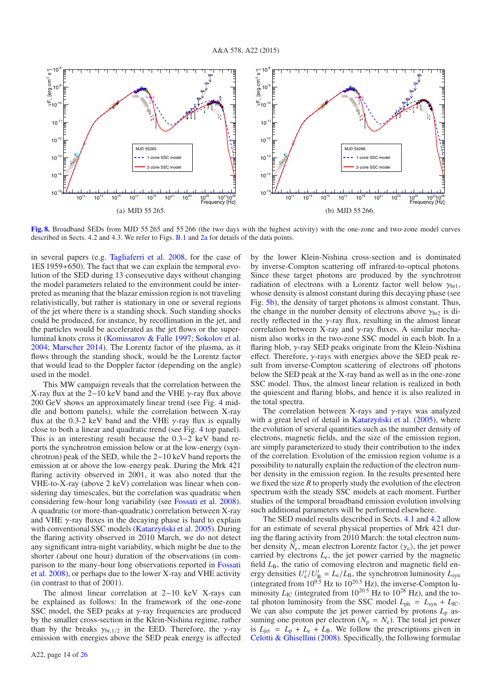<span id="page-14-0"></span>

**[Fig. 8.](http://dexter.edpsciences.org/applet.php?DOI=10.1051/0004-6361/201424811&pdf_id=8)** Broadband SEDs from MJD 55 265 and 55 266 (the two days with the highest activity) with the one-zone and two-zone model curves described in Sects. 4.2 and 4.3. We refer to Figs. [B.1](#page-20-1) and [2a](#page-21-0) for details of the data points.

in several papers (e.g. [Tagliaferri et al. 2008,](#page-16-80) for the case of 1ES 1959+650). The fact that we can explain the temporal evolution of the SED during 13 consecutive days without changing the model parameters related to the environment could be interpreted as meaning that the blazar emission region is not traveling relativistically, but rather is stationary in one or several regions of the jet where there is a standing shock. Such standing shocks could be produced, for instance, by recollimation in the jet, and the particles would be accelerated as the jet flows or the superluminal knots cross it [\(Komissarov & Falle 1997](#page-16-81); [Sokolov et al.](#page-16-82) [2004;](#page-16-82) [Marscher 2014\)](#page-16-63). The Lorentz factor of the plasma, as it flows through the standing shock, would be the Lorentz factor that would lead to the Doppler factor (depending on the angle) used in the model.

This MW campaign reveals that the correlation between the X-ray flux at the  $2-10$  keV band and the VHE  $\gamma$ -ray flux above 200 GeV shows an approximately linear trend (see Fig. [4](#page-8-3) middle and bottom panels), while the correlation between X-ray flux at the 0.3-2 keV band and the VHE  $\gamma$ -ray flux is equally close to both a linear and quadratic trend (see Fig. [4](#page-8-3) top panel). This is an interesting result because the 0.3−2 keV band reports the synchrotron emission below or at the low-energy (synchrotron) peak of the SED, while the 2−10 keV band reports the emission at or above the low-energy peak. During the Mrk 421 flaring activity observed in 2001, it was also noted that the VHE-to-X-ray (above 2 keV) correlation was linear when considering day timescales, but the correlation was quadratic when considering few-hour long variability (see [Fossati et al. 2008\)](#page-16-21). A quadratic (or more-than-quadratic) correlation between X-ray and VHE  $\gamma$ -ray fluxes in the decaying phase is hard to explain with conventional SSC models (Katarzyński et al. 2005). During the flaring activity observed in 2010 March, we do not detect any significant intra-night variability, which might be due to the shorter (about one hour) duration of the observations (in compari[son](#page-16-21) [to](#page-16-21) [the](#page-16-21) [many-hour](#page-16-21) [long](#page-16-21) [observations](#page-16-21) [reported](#page-16-21) [in](#page-16-21) Fossati et al. [2008](#page-16-21)), or perhaps due to the lower X-ray and VHE activity (in contrast to that of 2001).

The almost linear correlation at 2−10 keV X-rays can be explained as follows: In the framework of the one-zone SSC model, the SED peaks at  $\gamma$ -ray frequencies are produced by the smaller cross-section in the Klein-Nishina regime, rather than by the breaks  $\gamma_{\text{br},1/2}$  in the EED. Therefore, the  $\gamma$ -ray emission with energies above the SED peak energy is affected by the lower Klein-Nishina cross-section and is dominated by inverse-Compton scattering off infrared-to-optical photons. Since these target photons are produced by the synchrotron radiation of electrons with a Lorentz factor well below  $\gamma_{\rm br1}$ , whose density is almost constant during this decaying phase (see Fig. [5b\)](#page-11-1), the density of target photons is almost constant. Thus, the change in the number density of electrons above  $\gamma_{\text{br2}}$  is directly reflected in the  $\gamma$ -ray flux, resulting in the almost linear correlation between X-ray and  $\gamma$ -ray fluxes. A similar mechanism also works in the two-zone SSC model in each blob. In a flaring blob, γ-ray SED peaks originate from the Klein-Nishina effect. Therefore, γ-rays with energies above the SED peak result from inverse-Compton scattering of electrons off photons below the SED peak at the X-ray band as well as in the one-zone SSC model. Thus, the almost linear relation is realized in both the quiescent and flaring blobs, and hence it is also realized in the total spectra.

The correlation between X-rays and  $\gamma$ -rays was analyzed with a great level of detail in Katarzyński et al.  $(2005)$ , where the evolution of several quantities such as the number density of electrons, magnetic fields, and the size of the emission region, are simply parameterized to study their contribution to the index of the correlation. Evolution of the emission region volume is a possibility to naturally explain the reduction of the electron number density in the emission region. In the results presented here we fixed the size *R* to properly study the evolution of the electron spectrum with the steady SSC models at each moment. Further studies of the temporal broadband emission evolution involving such additional parameters will be performed elsewhere.

The SED model results described in Sects. [4.1](#page-9-0) and [4.2](#page-10-0) allow for an estimate of several physical properties of Mrk 421 during the flaring activity from 2010 March: the total electron number density  $N_e$ , mean electron Lorentz factor  $\langle \gamma_e \rangle$ , the jet power carried by electrons *L*e, the jet power carried by the magnetic field  $L_{\text{B}}$ , the ratio of comoving electron and magnetic field energy densities  $U'_e / U'_B = L_e / L_B$ , the synchrotron luminosity  $L_{syn}$ (integrated from  $10^{9.5}$  Hz to  $10^{20.5}$  Hz), the inverse-Compton luminosity  $L_{\text{IC}}$  (integrated from 10<sup>20.5</sup> Hz to 10<sup>28</sup> Hz), and the total photon luminosity from the SSC model  $L_{ph} = L_{syn} + L_{IC}$ . We can also compute the jet power carried by protons  $L_p$  assuming one proton per electron ( $N_p = N_e$ ). The total jet power is  $L_{\text{jet}} = L_{\text{p}} + L_{\text{e}} + L_{\text{B}}$ . We follow the prescriptions given in [Celotti & Ghisellini](#page-16-84) [\(2008](#page-16-84)). Specifically, the following formulae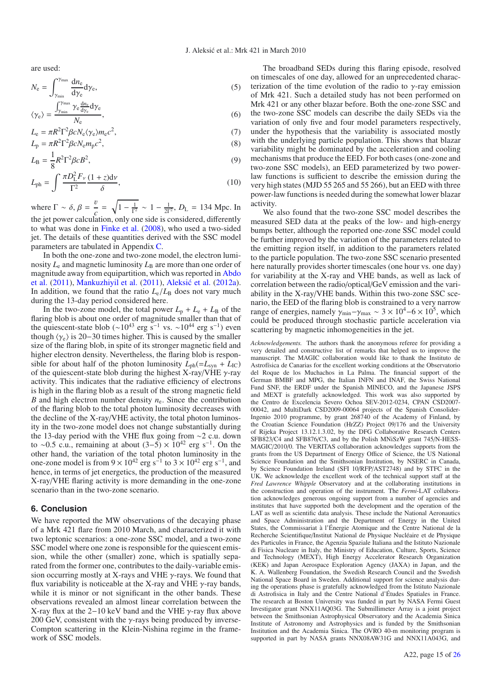are used:

<span id="page-15-1"></span>
$$
N_{\rm e} = \int_{\gamma_{\rm min}}^{\gamma_{\rm max}} \frac{\mathrm{d}n_{\rm e}}{\mathrm{d}\gamma_{\rm e}} \mathrm{d}\gamma_{\rm e},\tag{5}
$$

$$
\langle \gamma_{\rm e} \rangle = \frac{\int_{\gamma_{\rm min}}^{\gamma_{\rm max}} \gamma_{\rm e} \frac{d n_{\rm e}}{d \gamma_{\rm e}} d \gamma_{\rm e}}{N_{\rm e}},\tag{6}
$$

$$
L_{\rm e} = \pi R^2 \Gamma^2 \beta c N_{\rm e} \langle \gamma_{\rm e} \rangle m_{\rm e} c^2,
$$
  
\n
$$
L_{\rm p} = \pi R^2 \Gamma^2 \beta c N_{\rm e} m_{\rm p} c^2,
$$
\n(3)

$$
L_{\rm B} = \frac{1}{8} R^2 \Gamma^2 \beta c B^2, \tag{9}
$$

$$
L_{\rm ph} = \int \frac{\pi D_{\rm L}^2 F_{\nu}}{\Gamma^2} \frac{(1+z) \mathrm{d} \nu}{\delta},\tag{10}
$$

where  $\Gamma \sim \delta$ ,  $\beta = \frac{v}{c} = \sqrt{1 - \frac{1}{\Gamma^2}} \sim 1 - \frac{1}{2\Gamma^2}$ ,  $D_L = 134$  Mpc. In the jet power calculation, only one side is considered, differently to what was done in [Finke et al.](#page-16-85) [\(2008](#page-16-85)), who used a two-sided jet. The details of these quantities derived with the SSC model parameters are tabulated in Appendix [C.](#page-25-0)

In both the one-zone and two-zone model, the electron luminosity  $L_e$  and magnetic luminosity  $L_B$  are more than one order of mag[nitude away from equipartition, which was reported in](#page-16-15) Abdo et al. [\(2011](#page-16-15)), [Mankuzhiyil et al.](#page-16-24) [\(2011\)](#page-16-24), Aleksić et al. [\(2012a\)](#page-16-26). In addition, we found that the ratio  $L_e/L_B$  does not vary much during the 13-day period considered here.

In the two-zone model, the total power  $L_p + L_e + L_B$  of the flaring blob is about one order of magnitude smaller than that of the quiescent-state blob ( $\sim 10^{43}$  erg s<sup>-1</sup> vs.  $\sim 10^{44}$  erg s<sup>-1</sup>) even though  $\langle \gamma_e \rangle$  is 20−30 times higher. This is caused by the smaller size of the flaring blob, in spite of its stronger magnetic field and higher electron density. Nevertheless, the flaring blob is responsible for about half of the photon luminosity  $L_{ph} (= L_{syn} + L_{IC})$ of the quiescent-state blob during the highest X-ray/VHE  $\gamma$ -ray activity. This indicates that the radiative efficiency of electrons is high in the flaring blob as a result of the strong magnetic field *B* and high electron number density  $n_e$ . Since the contribution of the flaring blob to the total photon luminosity decreases with the decline of the X-ray/VHE activity, the total photon luminosity in the two-zone model does not change substantially during the 13-day period with the VHE flux going from ∼2 c.u. down to ~0.5 c.u., remaining at about  $(3-5) \times 10^{42}$  erg s<sup>-1</sup>. On the other hand, the variation of the total photon luminosity in the one-zone model is from  $9 \times 10^{42}$  erg s<sup>-1</sup> to  $3 \times 10^{42}$  erg s<sup>-1</sup>, and hence, in terms of jet energetics, the production of the measured X-ray/VHE flaring activity is more demanding in the one-zone scenario than in the two-zone scenario.

#### <span id="page-15-0"></span>**6. Conclusion**

We have reported the MW observations of the decaying phase of a Mrk 421 flare from 2010 March, and characterized it with two leptonic scenarios: a one-zone SSC model, and a two-zone SSC model where one zone is responsible for the quiescent emission, while the other (smaller) zone, which is spatially separated from the former one, contributes to the daily-variable emission occurring mostly at X-rays and VHE  $\gamma$ -rays. We found that flux variability is noticeable at the X-ray and VHE  $\gamma$ -ray bands, while it is minor or not significant in the other bands. These observations revealed an almost linear correlation between the X-ray flux at the 2–10 keV band and the VHE  $\gamma$ -ray flux above 200 GeV, consistent with the  $\gamma$ -rays being produced by inverse-Compton scattering in the Klein-Nishina regime in the framework of SSC models.

The broadband SEDs during this flaring episode, resolved on timescales of one day, allowed for an unprecedented characterization of the time evolution of the radio to  $\gamma$ -ray emission of Mrk 421. Such a detailed study has not been performed on Mrk 421 or any other blazar before. Both the one-zone SSC and the two-zone SSC models can describe the daily SEDs via the variation of only five and four model parameters respectively, under the hypothesis that the variability is associated mostly with the underlying particle population. This shows that blazar variability might be dominated by the acceleration and cooling mechanisms that produce the EED. For both cases (one-zone and two-zone SSC models), an EED parameterized by two powerlaw functions is sufficient to describe the emission during the very high states (MJD 55 265 and 55 266), but an EED with three power-law functions is needed during the somewhat lower blazar activity.

We also found that the two-zone SSC model describes the measured SED data at the peaks of the low- and high-energy bumps better, although the reported one-zone SSC model could be further improved by the variation of the parameters related to the emitting region itself, in addition to the parameters related to the particle population. The two-zone SSC scenario presented here naturally provides shorter timescales (one hour vs. one day) for variability at the X-ray and VHE bands, as well as lack of correlation between the radio/optical/GeV emission and the variability in the X-ray/VHE bands. Within this two-zone SSC scenario, the EED of the flaring blob is constrained to a very narrow range of energies, namely  $\gamma_{\text{min}} - \gamma_{\text{max}} \sim 3 \times 10^4 - 6 \times 10^5$ , which could be produced through stochastic particle acceleration via scattering by magnetic inhomogeneities in the jet.

*Acknowledgements.* The authors thank the anonymous referee for providing a very detailed and constructive list of remarks that helped us to improve the manuscript. The MAGIC collaboration would like to thank the Instituto de Astrofísica de Canarias for the excellent working conditions at the Observatorio del Roque de los Muchachos in La Palma. The financial support of the German BMBF and MPG, the Italian INFN and INAF, the Swiss National Fund SNF, the ERDF under the Spanish MINECO, and the Japanese JSPS and MEXT is gratefully acknowledged. This work was also supported by the Centro de Excelencia Severo Ochoa SEV-2012-0234, CPAN CSD2007-00042, and MultiDark CSD2009-00064 projects of the Spanish Consolider-Ingenio 2010 programme, by grant 268740 of the Academy of Finland, by the Croatian Science Foundation (HrZZ) Project 09/176 and the University of Rijeka Project 13.12.1.3.02, by the DFG Collaborative Research Centers SFB823/C4 and SFB876/C3, and by the Polish MNiSzW grant 745/N-HESS-MAGIC/2010/0. The VERITAS collaboration acknowledges supports from the grants from the US Department of Energy Office of Science, the US National Science Foundation and the Smithsonian Institution, by NSERC in Canada, by Science Foundation Ireland (SFI 10/RFP/AST2748) and by STFC in the UK. We acknowledge the excellent work of the technical support staff at the *Fred Lawrence Whipple* Observatory and at the collaborating institutions in the construction and operation of the instrument. The *Fermi*-LAT collaboration acknowledges generous ongoing support from a number of agencies and institutes that have supported both the development and the operation of the LAT as well as scientific data analysis. These include the National Aeronautics and Space Administration and the Department of Energy in the United States, the Commissariat à l'Énergie Atomique and the Centre National de la Recherche Scientifique/Institut National de Physique Nucléaire et de Physique des Particules in France, the Agenzia Spaziale Italiana and the Istituto Nazionale di Fisica Nucleare in Italy, the Ministry of Education, Culture, Sports, Science and Technology (MEXT), High Energy Accelerator Research Organization (KEK) and Japan Aerospace Exploration Agency (JAXA) in Japan, and the K. A. Wallenberg Foundation, the Swedish Research Council and the Swedish National Space Board in Sweden. Additional support for science analysis during the operations phase is gratefully acknowledged from the Istituto Nazionale di Astrofisica in Italy and the Centre National d'Études Spatiales in France. The research at Boston University was funded in part by NASA Fermi Guest Investigator grant NNX11AQ03G. The Submillimeter Array is a joint project between the Smithsonian Astrophysical Observatory and the Academia Sinica Institute of Astronomy and Astrophysics and is funded by the Smithsonian Institution and the Academia Sinica. The OVRO 40-m monitoring program is supported in part by NASA grants NNX08AW31G and NNX11A043G, and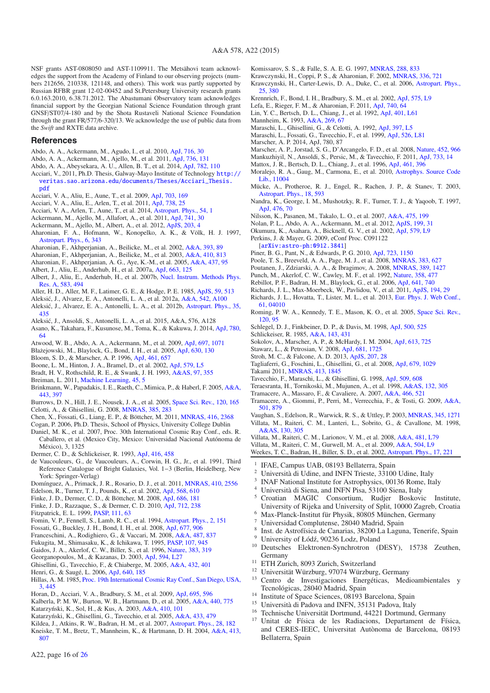NSF grants AST-0808050 and AST-1109911. The Metsähovi team acknowledges the support from the Academy of Finland to our observing projects (numbers 212656, 210338, 121148, and others). This work was partly supported by Russian RFBR grant 12-02-00452 and St.Petersburg University research grants 6.0.163.2010, 6.38.71.2012. The Abastumani Observatory team acknowledges financial support by the Georgian National Science Foundation through grant GNSF/ST07/4-180 and by the Shota Rustaveli National Science Foundation through the grant FR/577/6-320/13. We acknowledge the use of public data from the *Swift* and RXTE data archive.

#### **References**

- <span id="page-16-9"></span>Abdo, A. A., Ackermann, M., Agudo, I., et al. 2010, [ApJ, 716, 30](http://linker.aanda.org/10.1051/0004-6361/201424811/1)
- <span id="page-16-15"></span>Abdo, A. A., Ackermann, M., Ajello, M., et al. 2011, [ApJ, 736, 131](http://linker.aanda.org/10.1051/0004-6361/201424811/2)
- Abdo, A. A., Abeysekara, A. U., Allen, B. T., et al. 2014, [ApJ, 782, 110](http://linker.aanda.org/10.1051/0004-6361/201424811/3)
- <span id="page-16-40"></span>Acciari, V., 2011, Ph.D. Thesis, Galway-Mayo Institute of Technology [http://](http://veritas.sao.arizona.edu/documents/Theses/Acciari_Thesis.pdf) [veritas.sao.arizona.edu/documents/Theses/Acciari\\_Thesis.](http://veritas.sao.arizona.edu/documents/Theses/Acciari_Thesis.pdf) [pdf](http://veritas.sao.arizona.edu/documents/Theses/Acciari_Thesis.pdf)
- Acciari, V. A., Aliu, E., Aune, T., et al. 2009, [ApJ, 703, 169](http://linker.aanda.org/10.1051/0004-6361/201424811/5)
- <span id="page-16-25"></span>Acciari, V. A., Aliu, E., Arlen, T., et al. 2011, [ApJ, 738, 25](http://linker.aanda.org/10.1051/0004-6361/201424811/6)
- Acciari, V. A., Arlen, T., Aune, T., et al. 2014, [Astropart. Phys., 54, 1](http://linker.aanda.org/10.1051/0004-6361/201424811/7)
- <span id="page-16-60"></span><span id="page-16-23"></span>Ackermann, M., Ajello, M., Allafort, A., et al. 2011, [ApJ, 741, 30](http://linker.aanda.org/10.1051/0004-6361/201424811/8)
- <span id="page-16-42"></span>Ackermann, M., Ajello, M., Albert, A., et al. 2012, [ApJS, 203, 4](http://linker.aanda.org/10.1051/0004-6361/201424811/9)
- <span id="page-16-37"></span>Aharonian, F. A., Hofmann, W., Konopelko, A. K., & Völk, H. J. 1997, [Astropart. Phys., 6, 343](http://linker.aanda.org/10.1051/0004-6361/201424811/10)
- <span id="page-16-5"></span>Aharonian, F., Akhperjanian, A., Beilicke, M., et al. 2002, [A&A, 393, 89](http://linker.aanda.org/10.1051/0004-6361/201424811/11)
- <span id="page-16-4"></span>Aharonian, F., Akhperjanian, A., Beilicke, M., et al. 2003, [A&A, 410, 813](http://linker.aanda.org/10.1051/0004-6361/201424811/12)
- Aharonian, F., Akhperjanian, A. G., Aye, K.-M., et al. 2005, [A&A, 437, 95](http://linker.aanda.org/10.1051/0004-6361/201424811/13)
- <span id="page-16-8"></span><span id="page-16-7"></span>Albert, J., Aliu, E., Anderhub, H., et al. 2007a, [ApJ, 663, 125](http://linker.aanda.org/10.1051/0004-6361/201424811/14)
- 
- <span id="page-16-32"></span>Albert, J., Aliu, E., Anderhub, H., et al. 2007b, [Nucl. Instrum. Methods Phys.](http://linker.aanda.org/10.1051/0004-6361/201424811/15) [Res. A, 583, 494](http://linker.aanda.org/10.1051/0004-6361/201424811/15)
- <span id="page-16-59"></span>Aller, H. D., Aller, M. F., Latimer, G. E., & Hodge, P. E. 1985, [ApJS, 59, 513](http://linker.aanda.org/10.1051/0004-6361/201424811/16)
- <span id="page-16-26"></span>Aleksić, J., Alvarez, E. A., Antonelli, L. A., et al. 2012a,  $A&A$ , 542, A100
- <span id="page-16-27"></span>Aleksić, J., Alvarez, E. A., Antonelli, L. A., et al. 2012b, [Astropart. Phys., 35,](http://linker.aanda.org/10.1051/0004-6361/201424811/18) [435](http://linker.aanda.org/10.1051/0004-6361/201424811/18)
- Aleksic, J., Ansoldi, S., Antonelli, L. A., et al. 2015, A&A, 576, A128 ´
- <span id="page-16-78"></span><span id="page-16-17"></span>Asano, K., Takahara, F., Kusunose, M., Toma, K., & Kakuwa, J. 2014, [ApJ, 780,](http://linker.aanda.org/10.1051/0004-6361/201424811/20) [64](http://linker.aanda.org/10.1051/0004-6361/201424811/20)
- <span id="page-16-41"></span>Atwood, W. B., Abdo, A. A., Ackermann, M., et al. 2009, [ApJ, 697, 1071](http://linker.aanda.org/10.1051/0004-6361/201424811/21)
- Błażejowski, M., Blaylock, G., Bond, I. H., et al. 2005, [ApJ, 630, 130](http://linker.aanda.org/10.1051/0004-6361/201424811/22)
- <span id="page-16-19"></span><span id="page-16-12"></span>Bloom, S. D., & Marscher, A. P. 1996, [ApJ, 461, 657](http://linker.aanda.org/10.1051/0004-6361/201424811/23)
- Boone, L. M., Hinton, J. A., Bramel, D., et al. 2002, [ApJ, 579, L5](http://linker.aanda.org/10.1051/0004-6361/201424811/24)
- <span id="page-16-47"></span>Bradt, H. V., Rothschild, R. E., & Swank, J. H. 1993, [A&AS, 97, 355](http://linker.aanda.org/10.1051/0004-6361/201424811/25)
- Breiman, L. 2011, [Machine Learning, 45, 5](http://linker.aanda.org/10.1051/0004-6361/201424811/26)
- <span id="page-16-31"></span>Brinkmann, W., Papadakis, I. E., Raeth, C., Mimica, P., & Haberl, F. 2005, [A&A,](http://linker.aanda.org/10.1051/0004-6361/201424811/27) [443, 397](http://linker.aanda.org/10.1051/0004-6361/201424811/27)
- <span id="page-16-45"></span>Burrows, D. N., Hill, J. E., Nousek, J. A., et al. 2005, [Space Sci. Rev., 120, 165](http://linker.aanda.org/10.1051/0004-6361/201424811/28) Celotti, A., & Ghisellini, G. 2008, [MNRAS, 385, 283](http://linker.aanda.org/10.1051/0004-6361/201424811/29)
- <span id="page-16-84"></span><span id="page-16-69"></span>Chen, X., Fossati, G., Liang, E. P., & Böttcher, M. 2011, [MNRAS, 416, 2368](http://linker.aanda.org/10.1051/0004-6361/201424811/30)
- Cogan, P. 2006, Ph.D. Thesis, School of Physics, University College Dublin
- <span id="page-16-36"></span><span id="page-16-35"></span>Daniel, M. K., et al. 2007, Proc. 30th International Cosmic Ray Conf., eds. R. Caballero, et al. (Mexico City, Mexico: Universidad Nacional Autónoma de México), 3, 1325
- <span id="page-16-11"></span>Dermer, C. D., & Schlickeiser, R. 1993, [ApJ, 416, 458](http://linker.aanda.org/10.1051/0004-6361/201424811/33)
- <span id="page-16-0"></span>de Vaucouleurs, G., de Vaucouleurs, A., Corwin, H. G., Jr., et al. 1991, Third Reference Catalogue of Bright Galaxies, Vol. 1−3 (Berlin, Heidelberg, New
- York: Springer-Verlag) Domínguez, A., Primack, J. R., Rosario, D. J., et al. 2011, [MNRAS, 410, 2556](http://linker.aanda.org/10.1051/0004-6361/201424811/35)
- Edelson, R., Turner, T. J., Pounds, K., et al. 2002, [ApJ, 568, 610](http://linker.aanda.org/10.1051/0004-6361/201424811/36)
- <span id="page-16-89"></span><span id="page-16-85"></span>Finke, J. D., Dermer, C. D., & Böttcher, M. 2008, [ApJ, 686, 181](http://linker.aanda.org/10.1051/0004-6361/201424811/37)
- Finke, J. D., Razzaque, S., & Dermer, C. D. 2010, [ApJ, 712, 238](http://linker.aanda.org/10.1051/0004-6361/201424811/38)
- <span id="page-16-88"></span><span id="page-16-56"></span>Fitzpatrick, E. L. 1999, [PASP, 111, 63](http://linker.aanda.org/10.1051/0004-6361/201424811/39)

A22, page 16 of [26](#page-26-0)

- 
- <span id="page-16-28"></span>Fomin, V. P., Fennell, S., Lamb, R. C., et al. 1994, [Astropart. Phys., 2, 151](http://linker.aanda.org/10.1051/0004-6361/201424811/40)
- <span id="page-16-21"></span>Fossati, G., Buckley, J. H., Bond, I. H., et al. 2008, [ApJ, 677, 906](http://linker.aanda.org/10.1051/0004-6361/201424811/41)
- <span id="page-16-86"></span>Franceschini, A., Rodighiero, G., & Vaccari, M. 2008, [A&A, 487, 837](http://linker.aanda.org/10.1051/0004-6361/201424811/42)
- <span id="page-16-53"></span>Fukugita, M., Shimasaku, K., & Ichikawa, T. 1995, [PASP, 107, 945](http://linker.aanda.org/10.1051/0004-6361/201424811/43)
- Gaidos, J. A., Akerlof, C. W., Biller, S., et al. 1996, [Nature, 383, 319](http://linker.aanda.org/10.1051/0004-6361/201424811/44)
- <span id="page-16-73"></span><span id="page-16-16"></span>Georganopoulos, M., & Kazanas, D. 2003, [ApJ, 594, L27](http://linker.aanda.org/10.1051/0004-6361/201424811/45)
- <span id="page-16-74"></span>Ghisellini, G., Tavecchio, F., & Chiaberge, M. 2005, [A&A, 432, 401](http://linker.aanda.org/10.1051/0004-6361/201424811/46)
- <span id="page-16-75"></span>Henri, G., & Saugé, L. 2006, [ApJ, 640, 185](http://linker.aanda.org/10.1051/0004-6361/201424811/47)
- <span id="page-16-30"></span>Hillas, A. M. 1985, [Proc. 19th International Cosmic Ray Conf., San Diego, USA,](http://linker.aanda.org/10.1051/0004-6361/201424811/48) [3, 445](http://linker.aanda.org/10.1051/0004-6361/201424811/48)
- <span id="page-16-22"></span>Horan, D., Acciari, V. A., Bradbury, S. M., et al. 2009, [ApJ, 695, 596](http://linker.aanda.org/10.1051/0004-6361/201424811/49)
- Kalberla, P. M. W., Burton, W. B., Hartmann, D., et al. 2005, [A&A, 440, 775](http://linker.aanda.org/10.1051/0004-6361/201424811/50)
- <span id="page-16-46"></span>Katarzyński, K., Sol, H., & Kus, A. 2003, [A&A, 410, 101](http://linker.aanda.org/10.1051/0004-6361/201424811/51)
- <span id="page-16-83"></span><span id="page-16-18"></span>Katarzyński, K., Ghisellini, G., Tavecchio, et al. 2005, [A&A, 433, 479](http://linker.aanda.org/10.1051/0004-6361/201424811/52)
- <span id="page-16-87"></span><span id="page-16-39"></span>Kildea, J., Atkins, R. W., Badran, H. M., et al. 2007, [Astropart. Phys., 28, 182](http://linker.aanda.org/10.1051/0004-6361/201424811/53)
- Kneiske, T. M., Bretz, T., Mannheim, K., & Hartmann, D. H. 2004, [A&A, 413,](http://linker.aanda.org/10.1051/0004-6361/201424811/54) [807](http://linker.aanda.org/10.1051/0004-6361/201424811/54)
- <span id="page-16-81"></span>Komissarov, S. S., & Falle, S. A. E. G. 1997, [MNRAS, 288, 833](http://linker.aanda.org/10.1051/0004-6361/201424811/55)
- Krawczynski, H., Coppi, P. S., & Aharonian, F. 2002, [MNRAS, 336, 721](http://linker.aanda.org/10.1051/0004-6361/201424811/56)
- <span id="page-16-68"></span><span id="page-16-38"></span>Krawczynski, H., Carter-Lewis, D. A., Duke, C., et al. 2006, [Astropart. Phys.,](http://linker.aanda.org/10.1051/0004-6361/201424811/57) [25, 380](http://linker.aanda.org/10.1051/0004-6361/201424811/57)
- <span id="page-16-3"></span>Krennrich, F., Bond, I. H., Bradbury, S. M., et al. 2002, [ApJ, 575, L9](http://linker.aanda.org/10.1051/0004-6361/201424811/58)
- <span id="page-16-77"></span>Lefa, E., Rieger, F. M., & Aharonian, F. 2011, [ApJ, 740, 64](http://linker.aanda.org/10.1051/0004-6361/201424811/59)
- Lin, Y. C., Bertsch, D. L., Chiang, J., et al. 1992, [ApJ, 401, L61](http://linker.aanda.org/10.1051/0004-6361/201424811/60)
- <span id="page-16-13"></span><span id="page-16-10"></span><span id="page-16-1"></span>Mannheim, K. 1993, [A&A, 269, 67](http://linker.aanda.org/10.1051/0004-6361/201424811/61)
- Maraschi, L., Ghisellini, G., & Celotti, A. 1992, [ApJ, 397, L5](http://linker.aanda.org/10.1051/0004-6361/201424811/62)
- <span id="page-16-67"></span>Maraschi, L., Fossati, G., Tavecchio, F., et al. 1999, [ApJ, 526, L81](http://linker.aanda.org/10.1051/0004-6361/201424811/63)
- <span id="page-16-63"></span>Marscher, A. P. 2014, ApJ, 780, 87
- <span id="page-16-62"></span>Marscher, A. P., Jorstad, S. G., D'Arcangelo, F. D., et al. 2008, [Nature, 452, 966](http://linker.aanda.org/10.1051/0004-6361/201424811/65)
- Mankuzhiyil, N., Ansoldi, S., Persic, M., & Tavecchio, F. 2011, [ApJ, 733, 14](http://linker.aanda.org/10.1051/0004-6361/201424811/66)
- <span id="page-16-43"></span><span id="page-16-29"></span><span id="page-16-24"></span>Mattox, J. R., Bertsch, D. L., Chiang, J., et al. 1996, [ApJ, 461, 396](http://linker.aanda.org/10.1051/0004-6361/201424811/67)
- Moralejo, R. A., Gaug, M., Carmona, E., et al. 2010, [Astrophys. Source Code](http://linker.aanda.org/10.1051/0004-6361/201424811/68) [Lib., 11004](http://linker.aanda.org/10.1051/0004-6361/201424811/68)
- <span id="page-16-14"></span>Mücke, A., Protheroe, R. J., Engel, R., Rachen, J. P., & Stanev, T. 2003, [Astropart. Phys., 18, 593](http://linker.aanda.org/10.1051/0004-6361/201424811/69)
- Nandra, K., George, I. M., Mushotzky, R. F., Turner, T. J., & Yaqoob, T. 1997, [ApJ, 476, 70](http://linker.aanda.org/10.1051/0004-6361/201424811/70)
- Nilsson, K., Pasanen, M., Takalo, L. O., et al. 2007, [A&A, 475, 199](http://linker.aanda.org/10.1051/0004-6361/201424811/71)
- Nolan, P. L., Abdo, A. A., Ackermann, M., et al. 2012, [ApJS, 199, 31](http://linker.aanda.org/10.1051/0004-6361/201424811/72)
- <span id="page-16-52"></span><span id="page-16-44"></span><span id="page-16-34"></span><span id="page-16-6"></span>Okumura, K., Asahara, A., Bicknell, G. V., et al. 2002, [ApJ, 579, L9](http://linker.aanda.org/10.1051/0004-6361/201424811/73)
- Perkins, J. & Mayer, G. 2009, eConf Proc. C091122
- [[arXiv:astro-ph:0912.3841](http://arxiv.org/abs/astro-ph:0912.3841)]
- <span id="page-16-72"></span>Piner, B. G., Pant, N., & Edwards, P. G. 2010, [ApJ, 723, 1150](http://linker.aanda.org/10.1051/0004-6361/201424811/75)
- <span id="page-16-55"></span>Poole, T. S., Breeveld, A. A., Page, M. J., et al. 2008, [MNRAS, 383, 627](http://linker.aanda.org/10.1051/0004-6361/201424811/76)
- <span id="page-16-66"></span>Poutanen, J., Zdziarski, A. A., & Ibragimov, A. 2008, [MNRAS, 389, 1427](http://linker.aanda.org/10.1051/0004-6361/201424811/77)
- <span id="page-16-2"></span>Punch, M., Akerlof, C. W., Cawley, M. F., et al. 1992, [Nature, 358, 477](http://linker.aanda.org/10.1051/0004-6361/201424811/78)
- 
- Rebillot, P. F., Badran, H. M., Blaylock, G., et al. 2006, [ApJ, 641, 740](http://linker.aanda.org/10.1051/0004-6361/201424811/79)
- Richards, J. L., Max-Moerbeck, W., Pavlidou, V., et al. 2011, [ApJS, 194, 29](http://linker.aanda.org/10.1051/0004-6361/201424811/80)
- <span id="page-16-64"></span><span id="page-16-58"></span><span id="page-16-54"></span><span id="page-16-20"></span>Richards, J. L., Hovatta, T., Lister, M. L., et al. 2013, [Eur. Phys. J. Web Conf.,](http://linker.aanda.org/10.1051/0004-6361/201424811/81) [61, 04010](http://linker.aanda.org/10.1051/0004-6361/201424811/81)
- Roming, P. W. A., Kennedy, T. E., Mason, K. O., et al. 2005, [Space Sci. Rev.,](http://linker.aanda.org/10.1051/0004-6361/201424811/82) [120, 95](http://linker.aanda.org/10.1051/0004-6361/201424811/82)
- <span id="page-16-79"></span><span id="page-16-51"></span>Schlegel, D. J., Finkbeiner, D. P., & Davis, M. 1998, [ApJ, 500, 525](http://linker.aanda.org/10.1051/0004-6361/201424811/83)
- Schlickeiser, R. 1985, [A&A, 143, 431](http://linker.aanda.org/10.1051/0004-6361/201424811/84)
- <span id="page-16-82"></span>Sokolov, A., Marscher, A. P., & McHardy, I. M. 2004, [ApJ, 613, 725](http://linker.aanda.org/10.1051/0004-6361/201424811/85)
- <span id="page-16-76"></span>Stawarz, L., & Petrosian, V. 2008, [ApJ, 681, 1725](http://linker.aanda.org/10.1051/0004-6361/201424811/86)
- <span id="page-16-61"></span>Stroh, M. C., & Falcone, A. D. 2013, [ApJS, 207, 28](http://linker.aanda.org/10.1051/0004-6361/201424811/87)
- Tagliaferri, G., Foschini, L., Ghisellini, G., et al. 2008, [ApJ, 679, 1029](http://linker.aanda.org/10.1051/0004-6361/201424811/88) Takami 2011, [MNRAS, 413, 1845](http://linker.aanda.org/10.1051/0004-6361/201424811/89)

<span id="page-16-49"></span><span id="page-16-48"></span><span id="page-16-33"></span>Villata, M., Raiteri, C. M., Gurwell, M. A., et al. 2009, [A&A, 504, L9](http://linker.aanda.org/10.1051/0004-6361/201424811/97) Weekes, T. C., Badran, H., Biller, S. D., et al. 2002, [Astropart. Phys., 17, 221](http://linker.aanda.org/10.1051/0004-6361/201424811/98)

<sup>2</sup> Università di Udine, and INFN Trieste, 33100 Udine, Italy <sup>3</sup> INAF National Institute for Astrophysics, 00136 Rome, Italy <sup>4</sup> Università di Siena, and INFN Pisa, 53100 Siena, Italy

<sup>5</sup> Croatian MAGIC Consortium, Rudjer Boskovic Institute, University of Rijeka and University of Split, 10000 Zagreb, Croatia <sup>6</sup> Max-Planck-Institut für Physik, 80805 München, Germany

<sup>8</sup> Inst. de Astrofísica de Canarias, 38200 La Laguna, Tenerife, Spain

Deutsches Elektronen-Synchrotron (DESY), 15738 Zeuthen,

<sup>13</sup> Centro de Investigaciones Energéticas, Medioambientales y

<sup>16</sup> Technische Universität Dortmund, 44221 Dortmund, Germany Unitat de Física de les Radiacions, Departament de Física, and CERES-IEEC, Universitat Autònoma de Barcelona, 08193

<sup>1</sup> IFAE, Campus UAB, 08193 Bellaterra, Spain<br><sup>2</sup> University di Udine, and INEN Triasta, 22100

<sup>7</sup> Universidad Complutense, 28040 Madrid, Spain

<sup>12</sup> Universität Würzburg, 97074 Würzburg, Germany

<sup>14</sup> Institute of Space Sciences, 08193 Barcelona, Spain <sup>15</sup> Università di Padova and INFN, 35131 Padova, Italy

<sup>9</sup> University of Łódź, 90236 Lodz, Poland<br><sup>10</sup> Deutsches Elektronen Synchrotron (L

<sup>11</sup> ETH Zurich, 8093 Zurich, Switzerland

Tecnológicas, 28040 Madrid, Spain

Germany

Bellaterra, Spain

- <span id="page-16-80"></span><span id="page-16-71"></span><span id="page-16-70"></span>Tavecchio, F., Maraschi, L., & Ghisellini, G. 1998, [ApJ, 509, 608](http://linker.aanda.org/10.1051/0004-6361/201424811/90)
- Teraesranta, H., Tornikoski, M., Mujunen, A., et al. 1998, [A&AS, 132, 305](http://linker.aanda.org/10.1051/0004-6361/201424811/91)
- <span id="page-16-57"></span>Tramacere, A., Massaro, F., & Cavaliere, A. 2007, [A&A, 466, 521](http://linker.aanda.org/10.1051/0004-6361/201424811/92)
- Tramacere, A., Giommi, P., Perri, M., Verrecchia, F., & Tosti, G. 2009, [A&A,](http://linker.aanda.org/10.1051/0004-6361/201424811/93) [501, 879](http://linker.aanda.org/10.1051/0004-6361/201424811/93)

Vaughan, S., Edelson, R., Warwick, R. S., & Uttley, P. 2003, [MNRAS, 345, 1271](http://linker.aanda.org/10.1051/0004-6361/201424811/94)

<span id="page-16-65"></span><span id="page-16-50"></span>Villata, M., Raiteri, C. M., Lanteri, L., Sobrito, G., & Cavallone, M. 1998, [A&AS, 130, 305](http://linker.aanda.org/10.1051/0004-6361/201424811/95) Villata, M., Raiteri, C. M., Larionov, V. M., et al. 2008, [A&A, 481, L79](http://linker.aanda.org/10.1051/0004-6361/201424811/96)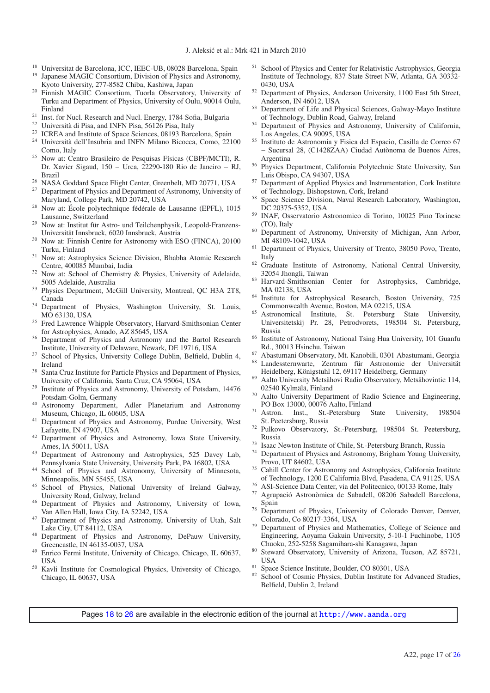- <sup>18</sup> Universitat de Barcelona, ICC, IEEC-UB, 08028 Barcelona, Spain
- <sup>19</sup> Japanese MAGIC Consortium, Division of Physics and Astronomy, Kyoto University, 277-8582 Chiba, Kashiwa, Japan
- <sup>20</sup> Finnish MAGIC Consortium, Tuorla Observatory, University of Turku and Department of Physics, University of Oulu, 90014 Oulu, Finland
- <sup>21</sup> Inst. for Nucl. Research and Nucl. Energy, 1784 Sofia, Bulgaria
- Università di Pisa, and INFN Pisa, 56126 Pisa, Italy
- <sup>23</sup> ICREA and Institute of Space Sciences, 08193 Barcelona, Spain
- <sup>24</sup> Università dell'Insubria and INFN Milano Bicocca, Como, 22100 Como, Italy
- <sup>25</sup> Now at: Centro Brasileiro de Pesquisas Físicas (CBPF/MCTI), R. Dr. Xavier Sigaud, 150 − Urca, 22290-180 Rio de Janeiro − RJ,
- <sup>26</sup> NASA Goddard Space Flight Center, Greenbelt, MD 20771, USA <sup>27</sup> Department of Physics and Department of Astronomy, University of
- Maryland, College Park, MD 20742, USA
- <sup>28</sup> Now at: École polytechnique fédérale de Lausanne (EPFL), 1015 Lausanne, Switzerland
- <sup>29</sup> Now at: Institut für Astro- und Teilchenphysik, Leopold-Franzens-Universität Innsbruck, 6020 Innsbruck, Austria
- <sup>30</sup> Now at: Finnish Centre for Astronomy with ESO (FINCA), 20100 Turku, Finland
- <sup>31</sup> Now at: Astrophysics Science Division, Bhabha Atomic Research Centre, 400085 Mumbai, India
- <sup>32</sup> Now at: School of Chemistry & Physics, University of Adelaide, 5005 Adelaide, Australia
- <sup>33</sup> Physics Department, McGill University, Montreal, QC H3A 2T8, Canada
- <sup>34</sup> Department of Physics, Washington University, St. Louis, MO 63130, USA
- <sup>35</sup> Fred Lawrence Whipple Observatory, Harvard-Smithsonian Center for Astrophysics, Amado, AZ 85645, USA <sup>36</sup> Department of Physics and Astronomy and the Bartol Research
- 
- Institute, University of Delaware, Newark, DE 19716, USA <sup>37</sup> School of Physics, University College Dublin, Belfield, Dublin 4, Ireland
- <sup>38</sup> Santa Cruz Institute for Particle Physics and Department of Physics, University of California, Santa Cruz, CA 95064, USA
- <sup>39</sup> Institute of Physics and Astronomy, University of Potsdam, 14476 Potsdam-Golm, Germany
- <sup>40</sup> Astronomy Department, Adler Planetarium and Astronomy Museum, Chicago, IL 60605, USA
- <sup>41</sup> Department of Physics and Astronomy, Purdue University, West Lafayette, IN 47907, USA
- <sup>42</sup> Department of Physics and Astronomy, Iowa State University, Ames, IA 50011, USA
- <sup>43</sup> Department of Astronomy and Astrophysics, 525 Davey Lab, Pennsylvania State University, University Park, PA 16802, USA
- School of Physics and Astronomy, University of Minnesota, Minneapolis, MN 55455, USA
- School of Physics, National University of Ireland Galway, University Road, Galway, Ireland
- <sup>46</sup> Department of Physics and Astronomy, University of Iowa, Van Allen Hall, Iowa City, IA 52242, USA
- <sup>47</sup> Department of Physics and Astronomy, University of Utah, Salt Lake City, UT 84112, USA
- <sup>48</sup> Department of Physics and Astronomy, DePauw University, Greencastle, IN 46135-0037, USA
- <sup>49</sup> Enrico Fermi Institute, University of Chicago, Chicago, IL 60637, **USA**
- <sup>50</sup> Kavli Institute for Cosmological Physics, University of Chicago, Chicago, IL 60637, USA
- <sup>51</sup> School of Physics and Center for Relativistic Astrophysics, Georgia Institute of Technology, 837 State Street NW, Atlanta, GA 30332- 0430, USA
- <sup>52</sup> Department of Physics, Anderson University, 1100 East 5th Street, Anderson, IN 46012, USA
- <sup>53</sup> Department of Life and Physical Sciences, Galway-Mayo Institute of Technology, Dublin Road, Galway, Ireland
- <sup>54</sup> Department of Physics and Astronomy, University of California, Los Angeles, CA 90095, USA
- <sup>55</sup> Instituto de Astronomia y Fisica del Espacio, Casilla de Correo 67 − Sucursal 28, (C1428ZAA) Ciudad Autònoma de Buenos Aires, Argentina
- <sup>56</sup> Physics Department, California Polytechnic State University, San
- Luis Obispo, CA 94307, USA <sup>57</sup> Department of Applied Physics and Instrumentation, Cork Institute
- of Technology, Bishopstown, Cork, Ireland<br><sup>58</sup> Space Science Division, Naval Research Laboratory, Washington, DC 20375-5352, USA
- <sup>59</sup> INAF, Osservatorio Astronomico di Torino, 10025 Pino Torinese (TO), Italy
- <sup>60</sup> Department of Astronomy, University of Michigan, Ann Arbor, MI 48109-1042, USA
- <sup>61</sup> Department of Physics, University of Trento, 38050 Povo, Trento, Italy
- <sup>62</sup> Graduate Institute of Astronomy, National Central University, 32054 Jhongli, Taiwan
- <sup>63</sup> Harvard-Smithsonian Center for Astrophysics, Cambridge, MA 02138, USA
- <sup>64</sup> Institute for Astrophysical Research, Boston University, 725 Commonwealth Avenue, Boston, MA 02215, USA
- <sup>65</sup> Astronomical Institute, St. Petersburg State University, Universitetskij Pr. 28, Petrodvorets, 198504 St. Petersburg, Russia
- <sup>66</sup> Institute of Astronomy, National Tsing Hua University, 101 Guanfu Rd., 30013 Hsinchu, Taiwan
- <sup>67</sup> Abastumani Observatory, Mt. Kanobili, 0301 Abastumani, Georgia <sup>68</sup> Landessternwarte, Zentrum für Astronomie der Universität
- Heidelberg, Königstuhl 12, 69117 Heidelberg, Germany <sup>69</sup> Aalto University Metsähovi Radio Observatory, Metsähovintie 114,
- 02540 Kylmälä, Finland
- <sup>70</sup> Aalto University Department of Radio Science and Engineering, PO Box 13000, 00076 Aalto, Finland
- <sup>71</sup> Astron. Inst., St.-Petersburg State University, 198504 St. Peetersburg, Russia
- <sup>72</sup> Pulkovo Observatory, St.-Petersburg, 198504 St. Peetersburg, Russia
- <sup>73</sup> Isaac Newton Institute of Chile, St.-Petersburg Branch, Russia<br><sup>74</sup> Department of Physics and Astronomy, Brigham Young Univers
- Department of Physics and Astronomy, Brigham Young University, Provo, UT 84602, USA
- <sup>75</sup> Cahill Center for Astronomy and Astrophysics, California Institute of Technology, 1200 E California Blvd, Pasadena, CA 91125, USA
- <sup>76</sup> ASI-Science Data Center, via del Politecnico, 00133 Rome, Italy
- Agrupació Astronòmica de Sabadell, 08206 Sabadell Barcelona, Spain
- <sup>78</sup> Department of Physics, University of Colorado Denver, Denver, Colorado, Co 80217-3364, USA
- <sup>79</sup> Department of Physics and Mathematics, College of Science and Engineering, Aoyama Gakuin University, 5-10-1 Fuchinobe, 1105
- Chuoku, 252-5258 Sagamihara-shi Kanagawa, Japan <sup>80</sup> Steward Observatory, University of Arizona, Tucson, AZ 85721,
- 
- USA<br><sup>81</sup> Space Science Institute, Boulder, CO 80301, USA<br><sup>82</sup> School of Cosmic Physics, Dublin Institute for Advanced Studies, Belfield, Dublin 2, Ireland

Pages [18](#page-18-1) to [26](#page-26-0) are available in the electronic edition of the journal at <http://www.aanda.org>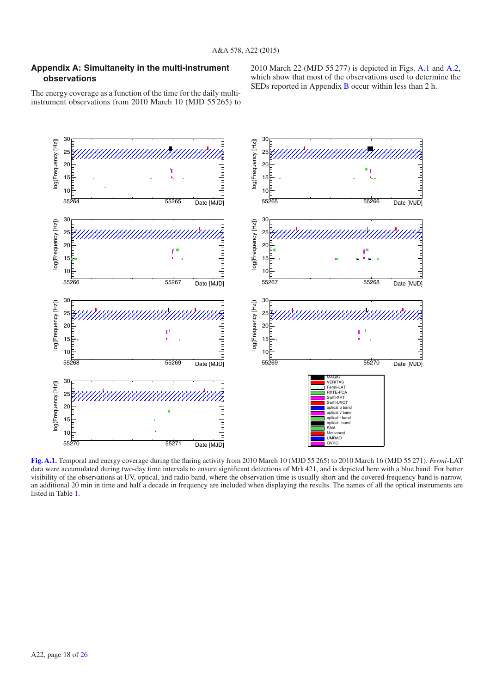## <span id="page-18-1"></span><span id="page-18-0"></span>**Appendix A: Simultaneity in the multi-instrument observations**

2010 March 22 (MJD 55 277) is depicted in Figs. [A.1](#page-18-2) and [A.2,](#page-19-0) which show that most of the observations used to determine the SEDs reported in Appendix [B](#page-20-0) occur within less than 2 h.

The energy coverage as a function of the time for the daily multiinstrument observations from 2010 March 10 (MJD 55 265) to



<span id="page-18-2"></span>**[Fig. A.1.](http://dexter.edpsciences.org/applet.php?DOI=10.1051/0004-6361/201424811&pdf_id=9)** Temporal and energy coverage during the flaring activity from 2010 March 10 (MJD 55 265) to 2010 March 16 (MJD 55 271). *Fermi*-LAT data were accumulated during two-day time intervals to ensure significant detections of Mrk 421, and is depicted here with a blue band. For better visibility of the observations at UV, optical, and radio band, where the observation time is usually short and the covered frequency band is narrow, an additional 20 min in time and half a decade in frequency are included when displaying the results. The names of all the optical instruments are listed in Table [1.](#page-3-1)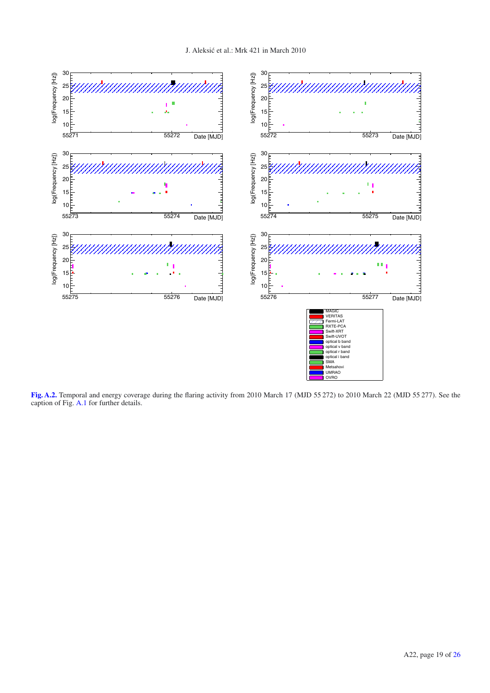

<span id="page-19-0"></span>**[Fig. A.2.](http://dexter.edpsciences.org/applet.php?DOI=10.1051/0004-6361/201424811&pdf_id=10)** Temporal and energy coverage during the flaring activity from 2010 March 17 (MJD 55 272) to 2010 March 22 (MJD 55 277). See the caption of Fig. [A.1](#page-18-2) for further details.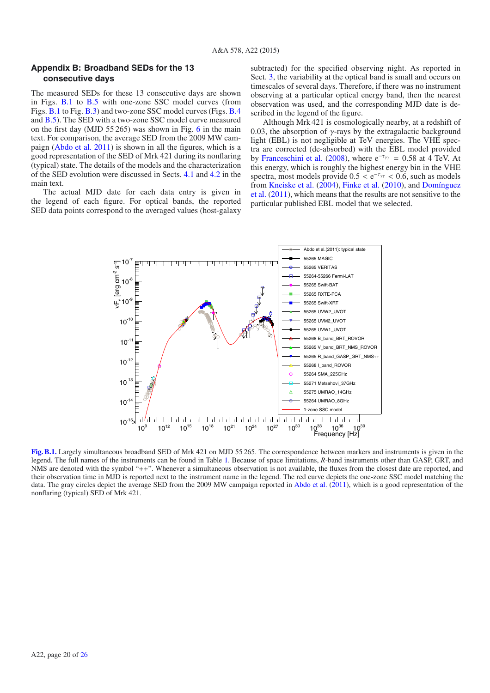### <span id="page-20-0"></span>**Appendix B: Broadband SEDs for the 13 consecutive days**

The measured SEDs for these 13 consecutive days are shown in Figs. [B.1](#page-20-1) to [B.5](#page-24-0) with one-zone SSC model curves (from Figs. [B.1](#page-20-1) to Fig. [B.3\)](#page-22-1) and two-zone SSC model curves (Figs. [B.4](#page-23-0) and [B.5\)](#page-24-0). The SED with a two-zone SSC model curve measured on the first day (MJD 55 265) was shown in Fig. [6](#page-12-1) in the main text. For comparison, the average SED from the 2009 MW campaign [\(Abdo et al. 2011\)](#page-16-15) is shown in all the figures, which is a good representation of the SED of Mrk 421 during its nonflaring (typical) state. The details of the models and the characterization of the SED evolution were discussed in Sects. [4.1](#page-9-0) and [4.2](#page-10-0) in the main text.

The actual MJD date for each data entry is given in the legend of each figure. For optical bands, the reported SED data points correspond to the averaged values (host-galaxy subtracted) for the specified observing night. As reported in Sect. [3,](#page-6-0) the variability at the optical band is small and occurs on timescales of several days. Therefore, if there was no instrument observing at a particular optical energy band, then the nearest observation was used, and the corresponding MJD date is described in the legend of the figure.

Although Mrk 421 is cosmologically nearby, at a redshift of 0.03, the absorption of  $\gamma$ -rays by the extragalactic background light (EBL) is not negligible at TeV energies. The VHE spectra are corrected (de-absorbed) with the EBL model provided by [Franceschini et al.](#page-16-86) [\(2008\)](#page-16-86), where  $e^{-\tau_{\gamma\gamma}} = 0.58$  at 4 TeV. At this energy, which is roughly the highest energy bin in the VHE spectra, most models provide  $0.5 < e^{-\tau_{\gamma\gamma}} < 0.6$ , such as models from [Kneiske et al.](#page-16-87) [\(2004\)](#page-16-87), [Finke et al.](#page-16-88) [\(2010](#page-16-88)), and Domínguez et al. [\(2011](#page-16-89)), which means that the results are not sensitive to the particular published EBL model that we selected.



<span id="page-20-1"></span>**[Fig. B.1.](http://dexter.edpsciences.org/applet.php?DOI=10.1051/0004-6361/201424811&pdf_id=11)** Largely simultaneous broadband SED of Mrk 421 on MJD 55 265. The correspondence between markers and instruments is given in the legend. The full names of the instruments can be found in Table [1.](#page-3-1) Because of space limitations, *R*-band instruments other than GASP, GRT, and NMS are denoted with the symbol "++". Whenever a simultaneous observation is not available, the fluxes from the closest date are reported, and their observation time in MJD is reported next to the instrument name in the legend. The red curve depicts the one-zone SSC model matching the data. The gray circles depict the average SED from the 2009 MW campaign reported in [Abdo et al.](#page-16-15) [\(2011\)](#page-16-15), which is a good representation of the nonflaring (typical) SED of Mrk 421.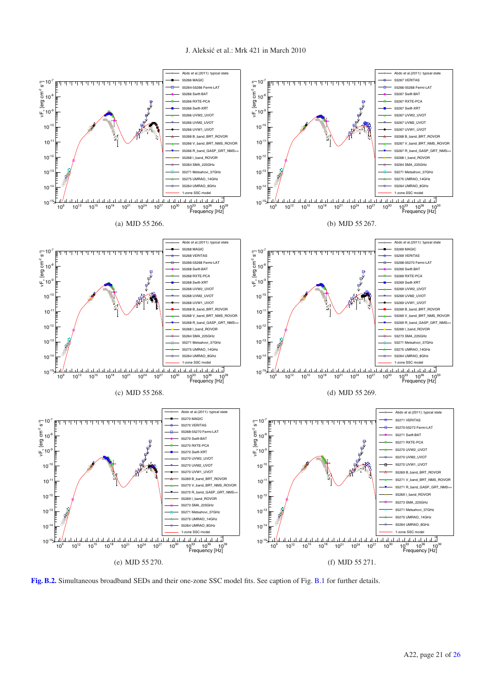<span id="page-21-0"></span>

**[Fig. B.2.](http://dexter.edpsciences.org/applet.php?DOI=10.1051/0004-6361/201424811&pdf_id=12)** Simultaneous broadband SEDs and their one-zone SSC model fits. See caption of Fig. [B.1](#page-20-1) for further details.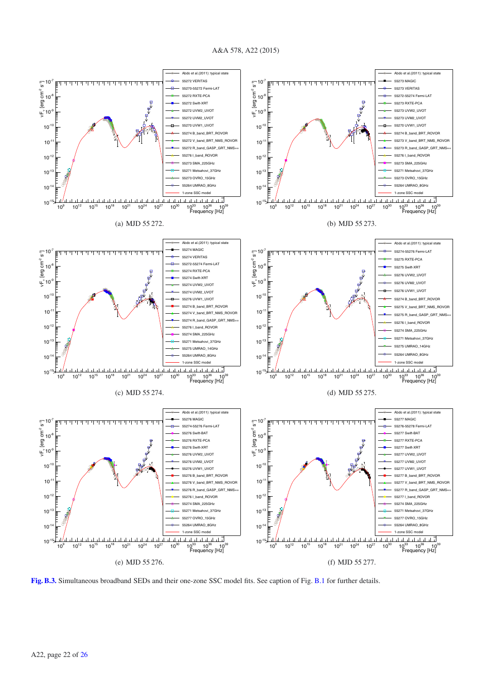<span id="page-22-0"></span>

(e) MJD 55 276.

(f) MJD 55 277.

<span id="page-22-1"></span>**[Fig. B.3.](http://dexter.edpsciences.org/applet.php?DOI=10.1051/0004-6361/201424811&pdf_id=13)** Simultaneous broadband SEDs and their one-zone SSC model fits. See caption of Fig. [B.1](#page-20-1) for further details.

#### A&A 578, A22 (2015)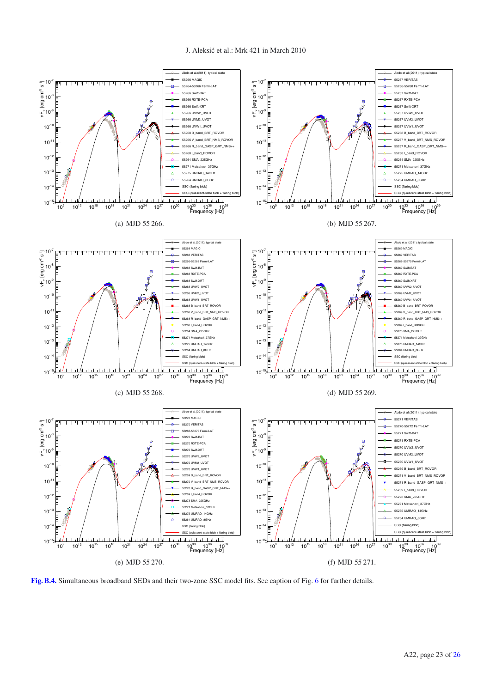

<span id="page-23-0"></span>**[Fig. B.4.](http://dexter.edpsciences.org/applet.php?DOI=10.1051/0004-6361/201424811&pdf_id=14)** Simultaneous broadband SEDs and their two-zone SSC model fits. See caption of Fig. [6](#page-12-1) for further details.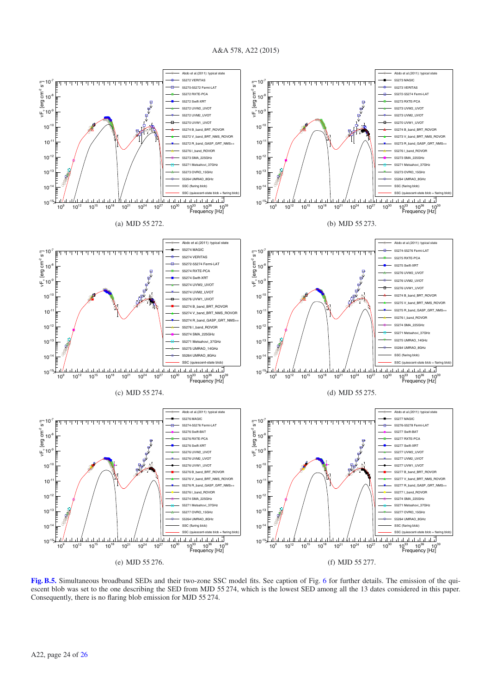A&A 578, A22 (2015)



<span id="page-24-0"></span>**[Fig. B.5.](http://dexter.edpsciences.org/applet.php?DOI=10.1051/0004-6361/201424811&pdf_id=15)** Simultaneous broadband SEDs and their two-zone SSC model fits. See caption of Fig. [6](#page-12-1) for further details. The emission of the quiescent blob was set to the one describing the SED from MJD 55 274, which is the lowest SED among all the 13 dates considered in this paper. Consequently, there is no flaring blob emission for MJD 55 274.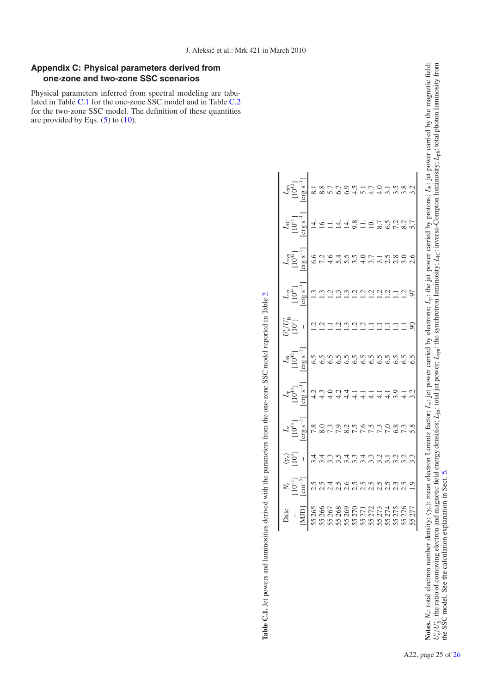## <span id="page-25-0"></span>**Appendix C: Physical parameters derived from one-zone and two-zone SSC scenarios**

Physical parameters inferred from spectral modeling are tabulated in Table [C.1](#page-25-1) for the one-zone SSC model and in Table [C.2](#page-26-1) for the two-zone SSC model. The definition of these quantities are provided by Eqs.  $(5)$  to  $(10)$ .

| Date                                                                                                                                                                                                                                                                                                                                                                                                                                              | $\stackrel{\circ}{\times}\stackrel{\circ}{\mathbb{C}}\stackrel{\circ}{\mathbb{C}}\stackrel{\circ}{\mathbb{C}}\stackrel{\circ}{\mathbb{C}}\stackrel{\circ}{\mathbb{C}}\stackrel{\circ}{\mathbb{C}}\stackrel{\circ}{\mathbb{C}}\stackrel{\circ}{\mathbb{C}}\stackrel{\circ}{\mathbb{C}}\stackrel{\circ}{\mathbb{C}}\stackrel{\circ}{\mathbb{C}}\stackrel{\circ}{\mathbb{C}}\stackrel{\circ}{\mathbb{C}}\stackrel{\circ}{\mathbb{C}}\stackrel{\circ}{\mathbb{C}}\stackrel{\circ}{\mathbb{C}}\stackrel{\circ}{\mathbb{C}}\stackrel{\circ}{\math$ |               |                                                         | $\frac{L_{\rm B}}{10^{42}}$ |                 | ust<br>Designation of the set of the set of the set of the set of the set of the set of the set of the set of the set<br>Designation of the set of the set of the set of the set of the set of the set of the set of the set of the | $\begin{array}{c} \begin{array}{c} \mathbf{L}_{\text{C}} \\ \mathbf{L}_{\text{C}} \\ \mathbf{L}_{\text{C}} \\ \mathbf{L}_{\text{C}} \\ \mathbf{L}_{\text{C}} \\ \mathbf{L}_{\text{C}} \\ \mathbf{L}_{\text{C}} \\ \mathbf{L}_{\text{C}} \\ \mathbf{L}_{\text{C}} \\ \mathbf{L}_{\text{C}} \\ \mathbf{L}_{\text{C}} \\ \mathbf{L}_{\text{C}} \\ \mathbf{L}_{\text{C}} \\ \mathbf{L}_{\text{C}} \\ \mathbf{L}_{\text{C}} \\ \mathbf{L}_{\text{C}} \\ \mathbf{L}_{\text{C}} \\ \math$ |  |
|---------------------------------------------------------------------------------------------------------------------------------------------------------------------------------------------------------------------------------------------------------------------------------------------------------------------------------------------------------------------------------------------------------------------------------------------------|----------------------------------------------------------------------------------------------------------------------------------------------------------------------------------------------------------------------------------------------------------------------------------------------------------------------------------------------------------------------------------------------------------------------------------------------------------------------------------------------------------------------------------------------|---------------|---------------------------------------------------------|-----------------------------|-----------------|-------------------------------------------------------------------------------------------------------------------------------------------------------------------------------------------------------------------------------------|------------------------------------------------------------------------------------------------------------------------------------------------------------------------------------------------------------------------------------------------------------------------------------------------------------------------------------------------------------------------------------------------------------------------------------------------------------------------------------|--|
| $\begin{array}{r} \begin{array}{c} \begin{array}{c} \begin{array}{c} \text{1} \\ \text{2} \\ \text{3} \\ \text{4} \\ \text{5} \\ \text{6} \\ \text{7} \\ \text{8} \\ \text{9} \\ \text{10} \\ \text{11} \\ \text{12} \\ \text{13} \\ \text{24} \\ \text{25} \\ \text{26} \\ \text{27} \\ \text{28} \\ \text{29} \\ \text{20} \\ \text{21} \\ \text{22} \\ \text{23} \\ \text{24} \\ \text{25} \\ \text{26} \\ \text{27} \\ \text{28} \\ \text{29$ |                                                                                                                                                                                                                                                                                                                                                                                                                                                                                                                                              |               | $\frac{[erg\ s^{-1}]}{4.2}$<br>4.2<br>4.3<br>4.3<br>4.0 |                             | $\overline{1}$  |                                                                                                                                                                                                                                     |                                                                                                                                                                                                                                                                                                                                                                                                                                                                                    |  |
|                                                                                                                                                                                                                                                                                                                                                                                                                                                   |                                                                                                                                                                                                                                                                                                                                                                                                                                                                                                                                              | $\frac{1}{2}$ |                                                         |                             | $\frac{1}{2}$   |                                                                                                                                                                                                                                     |                                                                                                                                                                                                                                                                                                                                                                                                                                                                                    |  |
|                                                                                                                                                                                                                                                                                                                                                                                                                                                   |                                                                                                                                                                                                                                                                                                                                                                                                                                                                                                                                              |               |                                                         |                             | $\overline{13}$ |                                                                                                                                                                                                                                     |                                                                                                                                                                                                                                                                                                                                                                                                                                                                                    |  |
|                                                                                                                                                                                                                                                                                                                                                                                                                                                   |                                                                                                                                                                                                                                                                                                                                                                                                                                                                                                                                              |               |                                                         |                             |                 |                                                                                                                                                                                                                                     |                                                                                                                                                                                                                                                                                                                                                                                                                                                                                    |  |
|                                                                                                                                                                                                                                                                                                                                                                                                                                                   |                                                                                                                                                                                                                                                                                                                                                                                                                                                                                                                                              |               |                                                         |                             |                 |                                                                                                                                                                                                                                     |                                                                                                                                                                                                                                                                                                                                                                                                                                                                                    |  |
|                                                                                                                                                                                                                                                                                                                                                                                                                                                   |                                                                                                                                                                                                                                                                                                                                                                                                                                                                                                                                              |               |                                                         |                             |                 |                                                                                                                                                                                                                                     |                                                                                                                                                                                                                                                                                                                                                                                                                                                                                    |  |
|                                                                                                                                                                                                                                                                                                                                                                                                                                                   |                                                                                                                                                                                                                                                                                                                                                                                                                                                                                                                                              |               |                                                         |                             |                 |                                                                                                                                                                                                                                     |                                                                                                                                                                                                                                                                                                                                                                                                                                                                                    |  |
|                                                                                                                                                                                                                                                                                                                                                                                                                                                   |                                                                                                                                                                                                                                                                                                                                                                                                                                                                                                                                              |               |                                                         |                             | HAAAAHHHHHS     |                                                                                                                                                                                                                                     |                                                                                                                                                                                                                                                                                                                                                                                                                                                                                    |  |
|                                                                                                                                                                                                                                                                                                                                                                                                                                                   |                                                                                                                                                                                                                                                                                                                                                                                                                                                                                                                                              |               |                                                         |                             |                 |                                                                                                                                                                                                                                     |                                                                                                                                                                                                                                                                                                                                                                                                                                                                                    |  |
|                                                                                                                                                                                                                                                                                                                                                                                                                                                   |                                                                                                                                                                                                                                                                                                                                                                                                                                                                                                                                              |               |                                                         |                             |                 |                                                                                                                                                                                                                                     |                                                                                                                                                                                                                                                                                                                                                                                                                                                                                    |  |
|                                                                                                                                                                                                                                                                                                                                                                                                                                                   |                                                                                                                                                                                                                                                                                                                                                                                                                                                                                                                                              |               |                                                         |                             |                 |                                                                                                                                                                                                                                     |                                                                                                                                                                                                                                                                                                                                                                                                                                                                                    |  |
|                                                                                                                                                                                                                                                                                                                                                                                                                                                   |                                                                                                                                                                                                                                                                                                                                                                                                                                                                                                                                              |               |                                                         |                             |                 |                                                                                                                                                                                                                                     |                                                                                                                                                                                                                                                                                                                                                                                                                                                                                    |  |
|                                                                                                                                                                                                                                                                                                                                                                                                                                                   |                                                                                                                                                                                                                                                                                                                                                                                                                                                                                                                                              |               |                                                         |                             |                 |                                                                                                                                                                                                                                     |                                                                                                                                                                                                                                                                                                                                                                                                                                                                                    |  |
|                                                                                                                                                                                                                                                                                                                                                                                                                                                   |                                                                                                                                                                                                                                                                                                                                                                                                                                                                                                                                              |               |                                                         |                             |                 |                                                                                                                                                                                                                                     |                                                                                                                                                                                                                                                                                                                                                                                                                                                                                    |  |

Table C.1. Jet powers and luminosities derived with the parameters from the one-zone SSC model reported in Table 2. **Table C.1.** Jet powers and luminosities derived with the parameters from the one-zone SSC model reported in Table [2.](#page-10-1)

 $\mathbf{Nots}_{\mathcal{C}_e^{\prime}}$ 

<span id="page-25-1"></span>*N*<sub>e</sub>: total electron number density;  $\langle \gamma_e \rangle$ : mean electron Lorentz factor;

B: the ratio of comoving electron and magnetic field energy densities;

the SSC model. See the calculation explanation in Sect. [5](#page-12-0).

*L*e: jet power carried by electrons;

*L*jet: total jet power;

 $L_{\rm syn}$ : the synchrotron luminosity;

*L*p: the jet power carried by protons;

*L*<sub>IC</sub>: inverse-Compton luminosity;

*L*B: jet power carried by the magnetic field;

*L*ph: total photon luminosity from